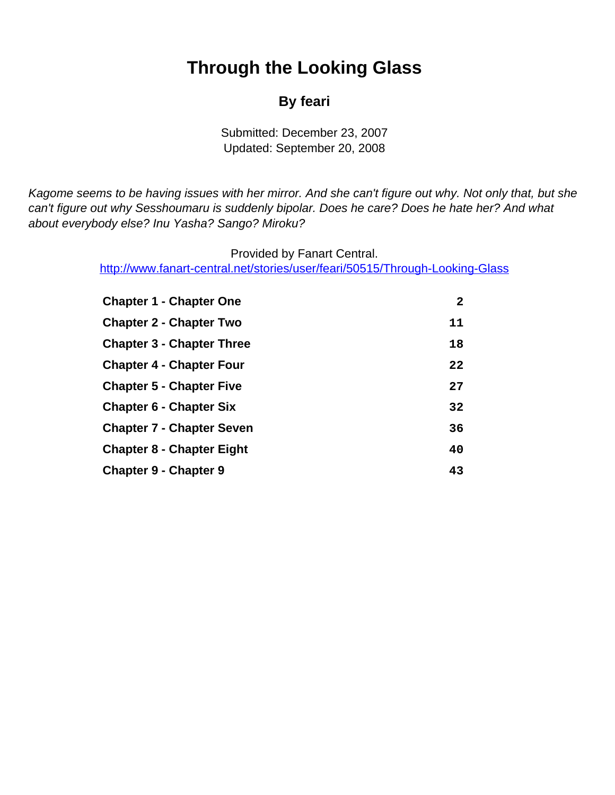# **Through the Looking Glass**

### **By feari**

Submitted: December 23, 2007 Updated: September 20, 2008

<span id="page-0-0"></span>Kagome seems to be having issues with her mirror. And she can't figure out why. Not only that, but she can't figure out why Sesshoumaru is suddenly bipolar. Does he care? Does he hate her? And what about everybody else? Inu Yasha? Sango? Miroku?

> Provided by Fanart Central. [http://www.fanart-central.net/stories/user/feari/50515/Through-Looking-Glass](#page-0-0)

| <b>Chapter 1 - Chapter One</b>   | 2  |
|----------------------------------|----|
| <b>Chapter 2 - Chapter Two</b>   | 11 |
| <b>Chapter 3 - Chapter Three</b> | 18 |
| <b>Chapter 4 - Chapter Four</b>  | 22 |
| <b>Chapter 5 - Chapter Five</b>  | 27 |
| <b>Chapter 6 - Chapter Six</b>   | 32 |
| <b>Chapter 7 - Chapter Seven</b> | 36 |
| <b>Chapter 8 - Chapter Eight</b> | 40 |
| <b>Chapter 9 - Chapter 9</b>     | 43 |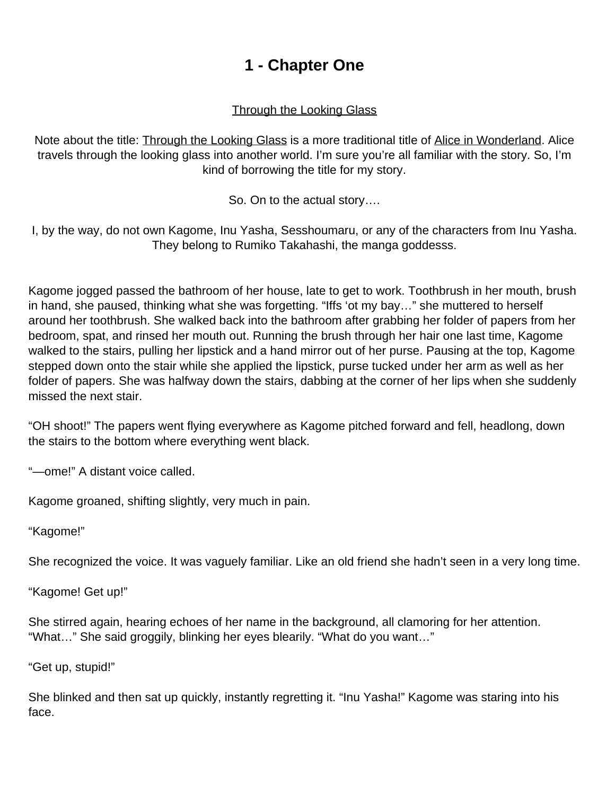# **1 - Chapter One**

#### Through the Looking Glass

<span id="page-1-0"></span>Note about the title: **Through the Looking Glass** is a more traditional title of Alice in Wonderland. Alice travels through the looking glass into another world. I'm sure you're all familiar with the story. So, I'm kind of borrowing the title for my story.

So. On to the actual story….

I, by the way, do not own Kagome, Inu Yasha, Sesshoumaru, or any of the characters from Inu Yasha. They belong to Rumiko Takahashi, the manga goddesss.

Kagome jogged passed the bathroom of her house, late to get to work. Toothbrush in her mouth, brush in hand, she paused, thinking what she was forgetting. "Iffs 'ot my bay…" she muttered to herself around her toothbrush. She walked back into the bathroom after grabbing her folder of papers from her bedroom, spat, and rinsed her mouth out. Running the brush through her hair one last time, Kagome walked to the stairs, pulling her lipstick and a hand mirror out of her purse. Pausing at the top, Kagome stepped down onto the stair while she applied the lipstick, purse tucked under her arm as well as her folder of papers. She was halfway down the stairs, dabbing at the corner of her lips when she suddenly missed the next stair.

"OH shoot!" The papers went flying everywhere as Kagome pitched forward and fell, headlong, down the stairs to the bottom where everything went black.

"—ome!" A distant voice called.

Kagome groaned, shifting slightly, very much in pain.

"Kagome!"

She recognized the voice. It was vaguely familiar. Like an old friend she hadn't seen in a very long time.

"Kagome! Get up!"

She stirred again, hearing echoes of her name in the background, all clamoring for her attention. "What…" She said groggily, blinking her eyes blearily. "What do you want…"

"Get up, stupid!"

She blinked and then sat up quickly, instantly regretting it. "Inu Yasha!" Kagome was staring into his face.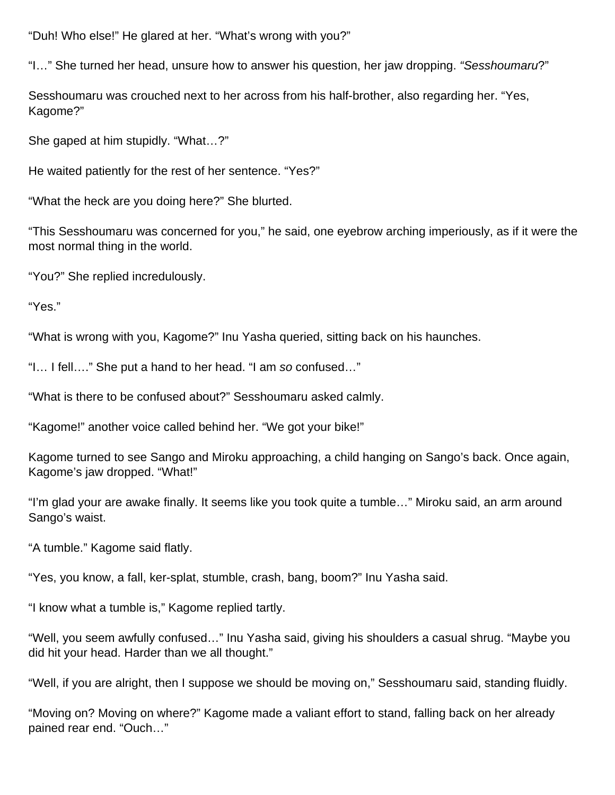"Duh! Who else!" He glared at her. "What's wrong with you?"

"I…" She turned her head, unsure how to answer his question, her jaw dropping. "Sesshoumaru?"

Sesshoumaru was crouched next to her across from his half-brother, also regarding her. "Yes, Kagome?"

She gaped at him stupidly. "What…?"

He waited patiently for the rest of her sentence. "Yes?"

"What the heck are you doing here?" She blurted.

"This Sesshoumaru was concerned for you," he said, one eyebrow arching imperiously, as if it were the most normal thing in the world.

"You?" She replied incredulously.

"Yes."

"What is wrong with you, Kagome?" Inu Yasha queried, sitting back on his haunches.

"I… I fell…." She put a hand to her head. "I am so confused…"

"What is there to be confused about?" Sesshoumaru asked calmly.

"Kagome!" another voice called behind her. "We got your bike!"

Kagome turned to see Sango and Miroku approaching, a child hanging on Sango's back. Once again, Kagome's jaw dropped. "What!"

"I'm glad your are awake finally. It seems like you took quite a tumble…" Miroku said, an arm around Sango's waist.

"A tumble." Kagome said flatly.

"Yes, you know, a fall, ker-splat, stumble, crash, bang, boom?" Inu Yasha said.

"I know what a tumble is," Kagome replied tartly.

"Well, you seem awfully confused…" Inu Yasha said, giving his shoulders a casual shrug. "Maybe you did hit your head. Harder than we all thought."

"Well, if you are alright, then I suppose we should be moving on," Sesshoumaru said, standing fluidly.

"Moving on? Moving on where?" Kagome made a valiant effort to stand, falling back on her already pained rear end. "Ouch…"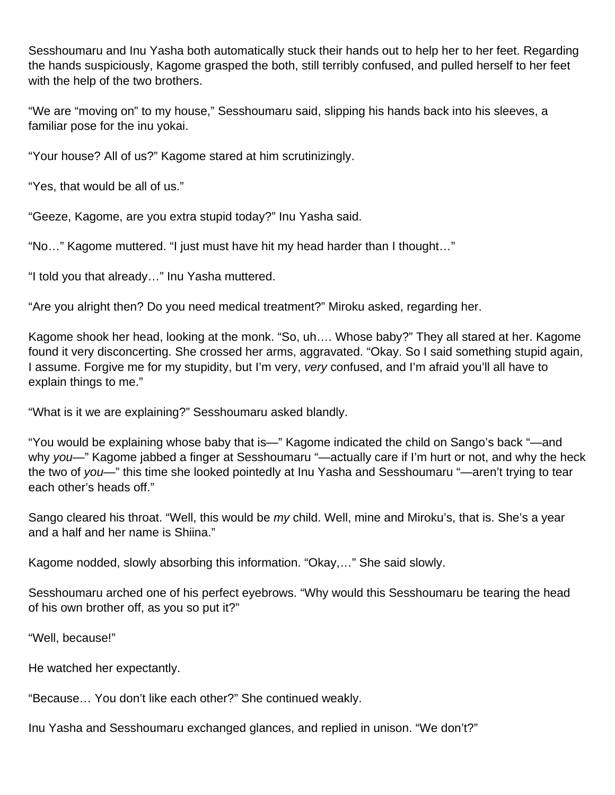Sesshoumaru and Inu Yasha both automatically stuck their hands out to help her to her feet. Regarding the hands suspiciously, Kagome grasped the both, still terribly confused, and pulled herself to her feet with the help of the two brothers.

"We are "moving on" to my house," Sesshoumaru said, slipping his hands back into his sleeves, a familiar pose for the inu yokai.

"Your house? All of us?" Kagome stared at him scrutinizingly.

"Yes, that would be all of us."

"Geeze, Kagome, are you extra stupid today?" Inu Yasha said.

"No…" Kagome muttered. "I just must have hit my head harder than I thought…"

"I told you that already…" Inu Yasha muttered.

"Are you alright then? Do you need medical treatment?" Miroku asked, regarding her.

Kagome shook her head, looking at the monk. "So, uh…. Whose baby?" They all stared at her. Kagome found it very disconcerting. She crossed her arms, aggravated. "Okay. So I said something stupid again, I assume. Forgive me for my stupidity, but I'm very, very confused, and I'm afraid you'll all have to explain things to me."

"What is it we are explaining?" Sesshoumaru asked blandly.

"You would be explaining whose baby that is—" Kagome indicated the child on Sango's back "—and why you—" Kagome jabbed a finger at Sesshoumaru "—actually care if I'm hurt or not, and why the heck the two of you—" this time she looked pointedly at Inu Yasha and Sesshoumaru "—aren't trying to tear each other's heads off."

Sango cleared his throat. "Well, this would be my child. Well, mine and Miroku's, that is. She's a year and a half and her name is Shiina."

Kagome nodded, slowly absorbing this information. "Okay,…" She said slowly.

Sesshoumaru arched one of his perfect eyebrows. "Why would this Sesshoumaru be tearing the head of his own brother off, as you so put it?"

"Well, because!"

He watched her expectantly.

"Because… You don't like each other?" She continued weakly.

Inu Yasha and Sesshoumaru exchanged glances, and replied in unison. "We don't?"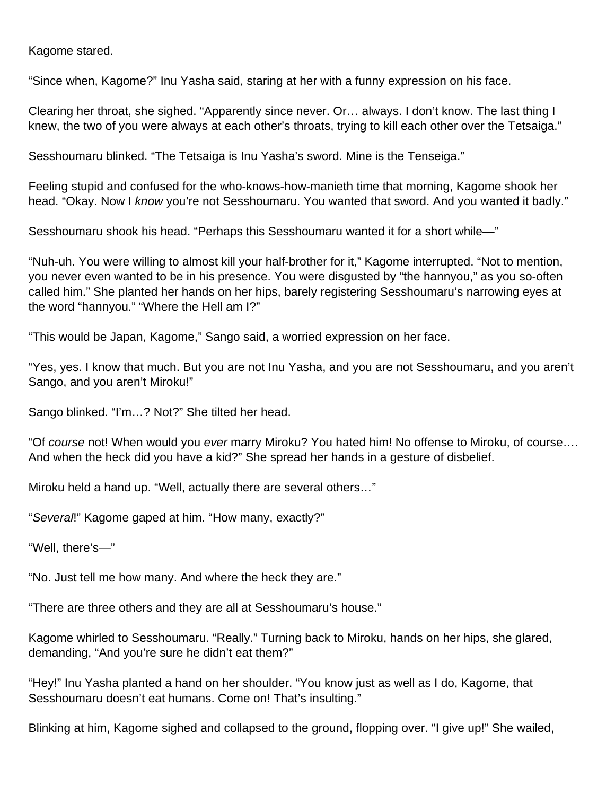Kagome stared.

"Since when, Kagome?" Inu Yasha said, staring at her with a funny expression on his face.

Clearing her throat, she sighed. "Apparently since never. Or… always. I don't know. The last thing I knew, the two of you were always at each other's throats, trying to kill each other over the Tetsaiga."

Sesshoumaru blinked. "The Tetsaiga is Inu Yasha's sword. Mine is the Tenseiga."

Feeling stupid and confused for the who-knows-how-manieth time that morning, Kagome shook her head. "Okay. Now I know you're not Sesshoumaru. You wanted that sword. And you wanted it badly."

Sesshoumaru shook his head. "Perhaps this Sesshoumaru wanted it for a short while—"

"Nuh-uh. You were willing to almost kill your half-brother for it," Kagome interrupted. "Not to mention, you never even wanted to be in his presence. You were disgusted by "the hannyou," as you so-often called him." She planted her hands on her hips, barely registering Sesshoumaru's narrowing eyes at the word "hannyou." "Where the Hell am I?"

"This would be Japan, Kagome," Sango said, a worried expression on her face.

"Yes, yes. I know that much. But you are not Inu Yasha, and you are not Sesshoumaru, and you aren't Sango, and you aren't Miroku!"

Sango blinked. "I'm…? Not?" She tilted her head.

"Of course not! When would you ever marry Miroku? You hated him! No offense to Miroku, of course…. And when the heck did you have a kid?" She spread her hands in a gesture of disbelief.

Miroku held a hand up. "Well, actually there are several others…"

"Several!" Kagome gaped at him. "How many, exactly?"

"Well, there's—"

"No. Just tell me how many. And where the heck they are."

"There are three others and they are all at Sesshoumaru's house."

Kagome whirled to Sesshoumaru. "Really." Turning back to Miroku, hands on her hips, she glared, demanding, "And you're sure he didn't eat them?"

"Hey!" Inu Yasha planted a hand on her shoulder. "You know just as well as I do, Kagome, that Sesshoumaru doesn't eat humans. Come on! That's insulting."

Blinking at him, Kagome sighed and collapsed to the ground, flopping over. "I give up!" She wailed,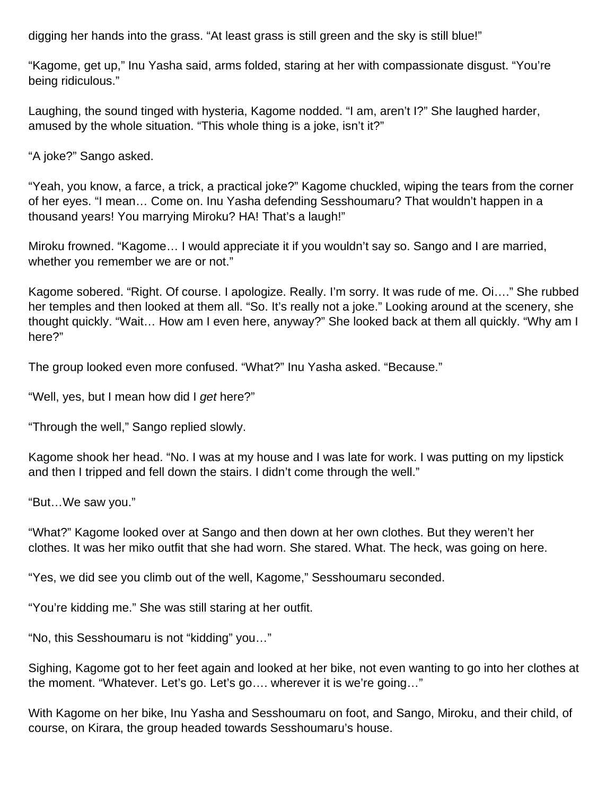digging her hands into the grass. "At least grass is still green and the sky is still blue!"

"Kagome, get up," Inu Yasha said, arms folded, staring at her with compassionate disgust. "You're being ridiculous."

Laughing, the sound tinged with hysteria, Kagome nodded. "I am, aren't I?" She laughed harder, amused by the whole situation. "This whole thing is a joke, isn't it?"

"A joke?" Sango asked.

"Yeah, you know, a farce, a trick, a practical joke?" Kagome chuckled, wiping the tears from the corner of her eyes. "I mean… Come on. Inu Yasha defending Sesshoumaru? That wouldn't happen in a thousand years! You marrying Miroku? HA! That's a laugh!"

Miroku frowned. "Kagome… I would appreciate it if you wouldn't say so. Sango and I are married, whether you remember we are or not."

Kagome sobered. "Right. Of course. I apologize. Really. I'm sorry. It was rude of me. Oi…." She rubbed her temples and then looked at them all. "So. It's really not a joke." Looking around at the scenery, she thought quickly. "Wait… How am I even here, anyway?" She looked back at them all quickly. "Why am I here?"

The group looked even more confused. "What?" Inu Yasha asked. "Because."

"Well, yes, but I mean how did I get here?"

"Through the well," Sango replied slowly.

Kagome shook her head. "No. I was at my house and I was late for work. I was putting on my lipstick and then I tripped and fell down the stairs. I didn't come through the well."

"But…We saw you."

"What?" Kagome looked over at Sango and then down at her own clothes. But they weren't her clothes. It was her miko outfit that she had worn. She stared. What. The heck, was going on here.

"Yes, we did see you climb out of the well, Kagome," Sesshoumaru seconded.

"You're kidding me." She was still staring at her outfit.

"No, this Sesshoumaru is not "kidding" you…"

Sighing, Kagome got to her feet again and looked at her bike, not even wanting to go into her clothes at the moment. "Whatever. Let's go. Let's go…. wherever it is we're going…"

With Kagome on her bike, Inu Yasha and Sesshoumaru on foot, and Sango, Miroku, and their child, of course, on Kirara, the group headed towards Sesshoumaru's house.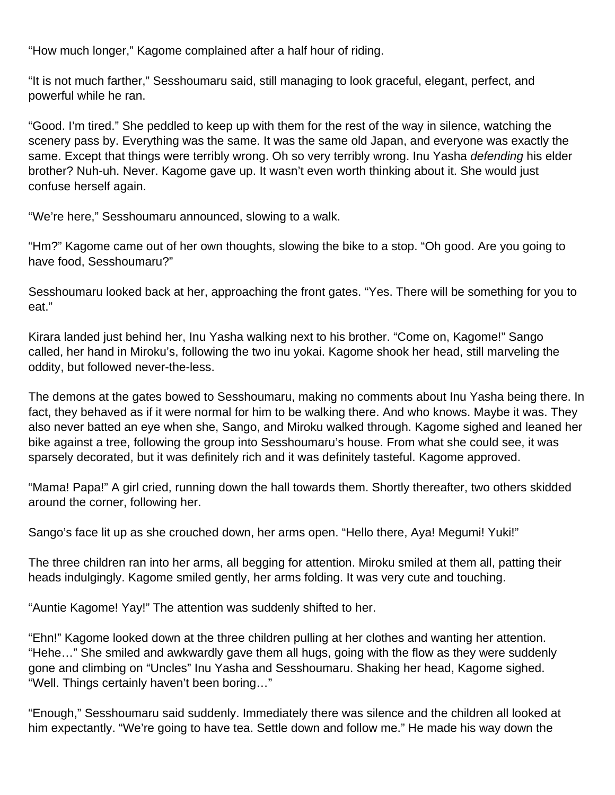"How much longer," Kagome complained after a half hour of riding.

"It is not much farther," Sesshoumaru said, still managing to look graceful, elegant, perfect, and powerful while he ran.

"Good. I'm tired." She peddled to keep up with them for the rest of the way in silence, watching the scenery pass by. Everything was the same. It was the same old Japan, and everyone was exactly the same. Except that things were terribly wrong. Oh so very terribly wrong. Inu Yasha *defending* his elder brother? Nuh-uh. Never. Kagome gave up. It wasn't even worth thinking about it. She would just confuse herself again.

"We're here," Sesshoumaru announced, slowing to a walk.

"Hm?" Kagome came out of her own thoughts, slowing the bike to a stop. "Oh good. Are you going to have food, Sesshoumaru?"

Sesshoumaru looked back at her, approaching the front gates. "Yes. There will be something for you to eat."

Kirara landed just behind her, Inu Yasha walking next to his brother. "Come on, Kagome!" Sango called, her hand in Miroku's, following the two inu yokai. Kagome shook her head, still marveling the oddity, but followed never-the-less.

The demons at the gates bowed to Sesshoumaru, making no comments about Inu Yasha being there. In fact, they behaved as if it were normal for him to be walking there. And who knows. Maybe it was. They also never batted an eye when she, Sango, and Miroku walked through. Kagome sighed and leaned her bike against a tree, following the group into Sesshoumaru's house. From what she could see, it was sparsely decorated, but it was definitely rich and it was definitely tasteful. Kagome approved.

"Mama! Papa!" A girl cried, running down the hall towards them. Shortly thereafter, two others skidded around the corner, following her.

Sango's face lit up as she crouched down, her arms open. "Hello there, Aya! Megumi! Yuki!"

The three children ran into her arms, all begging for attention. Miroku smiled at them all, patting their heads indulgingly. Kagome smiled gently, her arms folding. It was very cute and touching.

"Auntie Kagome! Yay!" The attention was suddenly shifted to her.

"Ehn!" Kagome looked down at the three children pulling at her clothes and wanting her attention. "Hehe…" She smiled and awkwardly gave them all hugs, going with the flow as they were suddenly gone and climbing on "Uncles" Inu Yasha and Sesshoumaru. Shaking her head, Kagome sighed. "Well. Things certainly haven't been boring…"

"Enough," Sesshoumaru said suddenly. Immediately there was silence and the children all looked at him expectantly. "We're going to have tea. Settle down and follow me." He made his way down the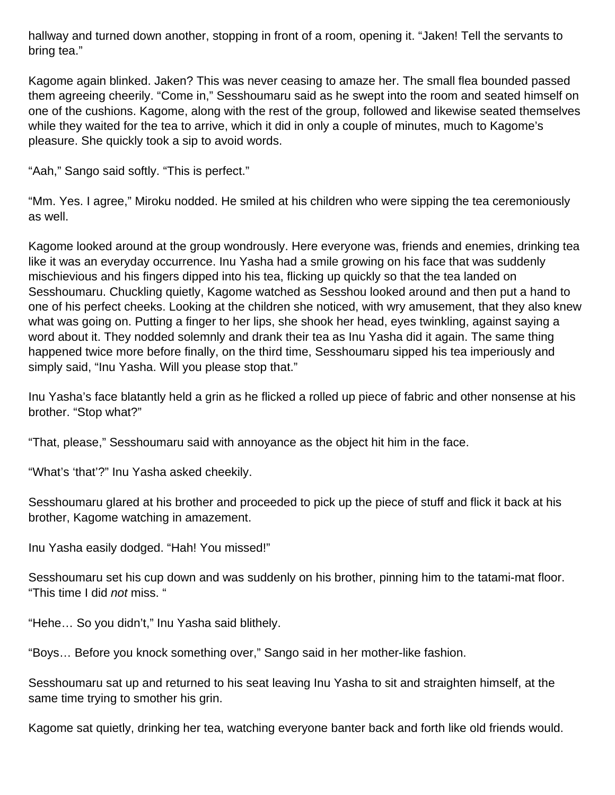hallway and turned down another, stopping in front of a room, opening it. "Jaken! Tell the servants to bring tea."

Kagome again blinked. Jaken? This was never ceasing to amaze her. The small flea bounded passed them agreeing cheerily. "Come in," Sesshoumaru said as he swept into the room and seated himself on one of the cushions. Kagome, along with the rest of the group, followed and likewise seated themselves while they waited for the tea to arrive, which it did in only a couple of minutes, much to Kagome's pleasure. She quickly took a sip to avoid words.

"Aah," Sango said softly. "This is perfect."

"Mm. Yes. I agree," Miroku nodded. He smiled at his children who were sipping the tea ceremoniously as well.

Kagome looked around at the group wondrously. Here everyone was, friends and enemies, drinking tea like it was an everyday occurrence. Inu Yasha had a smile growing on his face that was suddenly mischievious and his fingers dipped into his tea, flicking up quickly so that the tea landed on Sesshoumaru. Chuckling quietly, Kagome watched as Sesshou looked around and then put a hand to one of his perfect cheeks. Looking at the children she noticed, with wry amusement, that they also knew what was going on. Putting a finger to her lips, she shook her head, eyes twinkling, against saying a word about it. They nodded solemnly and drank their tea as Inu Yasha did it again. The same thing happened twice more before finally, on the third time, Sesshoumaru sipped his tea imperiously and simply said, "Inu Yasha. Will you please stop that."

Inu Yasha's face blatantly held a grin as he flicked a rolled up piece of fabric and other nonsense at his brother. "Stop what?"

"That, please," Sesshoumaru said with annoyance as the object hit him in the face.

"What's 'that'?" Inu Yasha asked cheekily.

Sesshoumaru glared at his brother and proceeded to pick up the piece of stuff and flick it back at his brother, Kagome watching in amazement.

Inu Yasha easily dodged. "Hah! You missed!"

Sesshoumaru set his cup down and was suddenly on his brother, pinning him to the tatami-mat floor. "This time I did not miss. "

"Hehe… So you didn't," Inu Yasha said blithely.

"Boys… Before you knock something over," Sango said in her mother-like fashion.

Sesshoumaru sat up and returned to his seat leaving Inu Yasha to sit and straighten himself, at the same time trying to smother his grin.

Kagome sat quietly, drinking her tea, watching everyone banter back and forth like old friends would.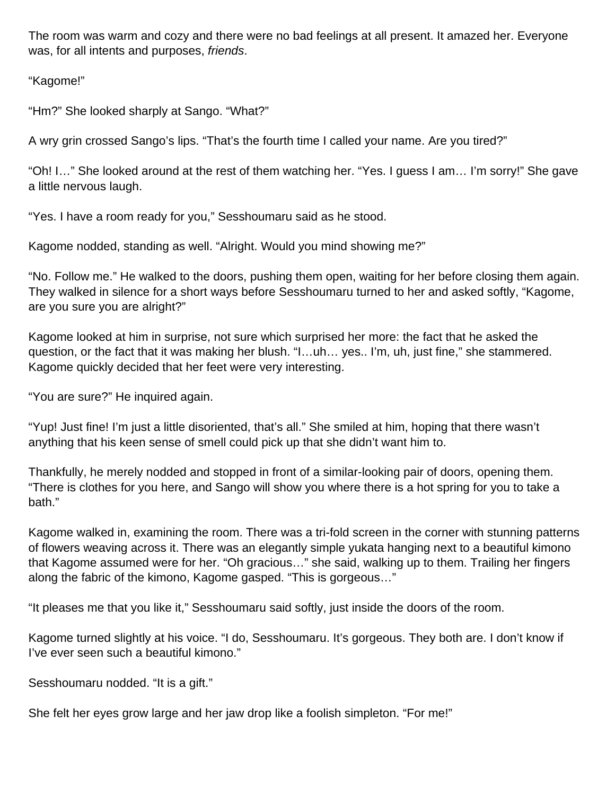The room was warm and cozy and there were no bad feelings at all present. It amazed her. Everyone was, for all intents and purposes, friends.

"Kagome!"

"Hm?" She looked sharply at Sango. "What?"

A wry grin crossed Sango's lips. "That's the fourth time I called your name. Are you tired?"

"Oh! I…" She looked around at the rest of them watching her. "Yes. I guess I am… I'm sorry!" She gave a little nervous laugh.

"Yes. I have a room ready for you," Sesshoumaru said as he stood.

Kagome nodded, standing as well. "Alright. Would you mind showing me?"

"No. Follow me." He walked to the doors, pushing them open, waiting for her before closing them again. They walked in silence for a short ways before Sesshoumaru turned to her and asked softly, "Kagome, are you sure you are alright?"

Kagome looked at him in surprise, not sure which surprised her more: the fact that he asked the question, or the fact that it was making her blush. "I…uh… yes.. I'm, uh, just fine," she stammered. Kagome quickly decided that her feet were very interesting.

"You are sure?" He inquired again.

"Yup! Just fine! I'm just a little disoriented, that's all." She smiled at him, hoping that there wasn't anything that his keen sense of smell could pick up that she didn't want him to.

Thankfully, he merely nodded and stopped in front of a similar-looking pair of doors, opening them. "There is clothes for you here, and Sango will show you where there is a hot spring for you to take a bath."

Kagome walked in, examining the room. There was a tri-fold screen in the corner with stunning patterns of flowers weaving across it. There was an elegantly simple yukata hanging next to a beautiful kimono that Kagome assumed were for her. "Oh gracious…" she said, walking up to them. Trailing her fingers along the fabric of the kimono, Kagome gasped. "This is gorgeous…"

"It pleases me that you like it," Sesshoumaru said softly, just inside the doors of the room.

Kagome turned slightly at his voice. "I do, Sesshoumaru. It's gorgeous. They both are. I don't know if I've ever seen such a beautiful kimono."

Sesshoumaru nodded. "It is a gift."

She felt her eyes grow large and her jaw drop like a foolish simpleton. "For me!"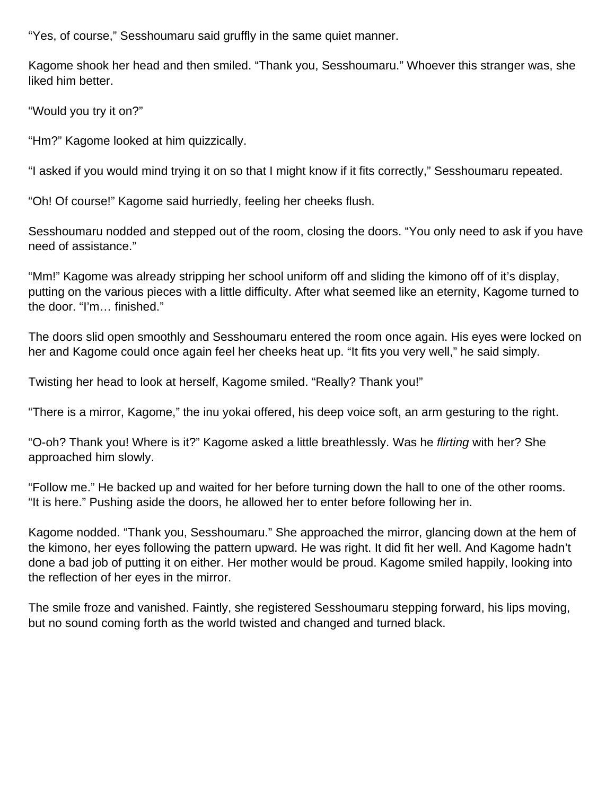"Yes, of course," Sesshoumaru said gruffly in the same quiet manner.

Kagome shook her head and then smiled. "Thank you, Sesshoumaru." Whoever this stranger was, she liked him better.

"Would you try it on?"

"Hm?" Kagome looked at him quizzically.

"I asked if you would mind trying it on so that I might know if it fits correctly," Sesshoumaru repeated.

"Oh! Of course!" Kagome said hurriedly, feeling her cheeks flush.

Sesshoumaru nodded and stepped out of the room, closing the doors. "You only need to ask if you have need of assistance."

"Mm!" Kagome was already stripping her school uniform off and sliding the kimono off of it's display, putting on the various pieces with a little difficulty. After what seemed like an eternity, Kagome turned to the door. "I'm… finished."

The doors slid open smoothly and Sesshoumaru entered the room once again. His eyes were locked on her and Kagome could once again feel her cheeks heat up. "It fits you very well," he said simply.

Twisting her head to look at herself, Kagome smiled. "Really? Thank you!"

"There is a mirror, Kagome," the inu yokai offered, his deep voice soft, an arm gesturing to the right.

"O-oh? Thank you! Where is it?" Kagome asked a little breathlessly. Was he flirting with her? She approached him slowly.

"Follow me." He backed up and waited for her before turning down the hall to one of the other rooms. "It is here." Pushing aside the doors, he allowed her to enter before following her in.

Kagome nodded. "Thank you, Sesshoumaru." She approached the mirror, glancing down at the hem of the kimono, her eyes following the pattern upward. He was right. It did fit her well. And Kagome hadn't done a bad job of putting it on either. Her mother would be proud. Kagome smiled happily, looking into the reflection of her eyes in the mirror.

The smile froze and vanished. Faintly, she registered Sesshoumaru stepping forward, his lips moving, but no sound coming forth as the world twisted and changed and turned black.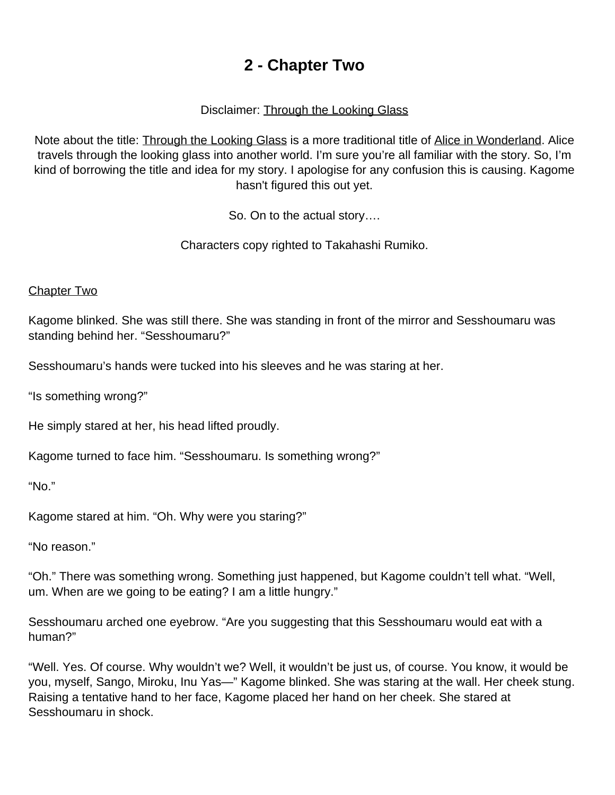# **2 - Chapter Two**

#### Disclaimer: Through the Looking Glass

<span id="page-10-0"></span>Note about the title: **Through the Looking Glass** is a more traditional title of Alice in Wonderland. Alice travels through the looking glass into another world. I'm sure you're all familiar with the story. So, I'm kind of borrowing the title and idea for my story. I apologise for any confusion this is causing. Kagome hasn't figured this out yet.

So. On to the actual story….

Characters copy righted to Takahashi Rumiko.

#### **Chapter Two**

Kagome blinked. She was still there. She was standing in front of the mirror and Sesshoumaru was standing behind her. "Sesshoumaru?"

Sesshoumaru's hands were tucked into his sleeves and he was staring at her.

"Is something wrong?"

He simply stared at her, his head lifted proudly.

Kagome turned to face him. "Sesshoumaru. Is something wrong?"

"No."

Kagome stared at him. "Oh. Why were you staring?"

"No reason."

"Oh." There was something wrong. Something just happened, but Kagome couldn't tell what. "Well, um. When are we going to be eating? I am a little hungry."

Sesshoumaru arched one eyebrow. "Are you suggesting that this Sesshoumaru would eat with a human?"

"Well. Yes. Of course. Why wouldn't we? Well, it wouldn't be just us, of course. You know, it would be you, myself, Sango, Miroku, Inu Yas—" Kagome blinked. She was staring at the wall. Her cheek stung. Raising a tentative hand to her face, Kagome placed her hand on her cheek. She stared at Sesshoumaru in shock.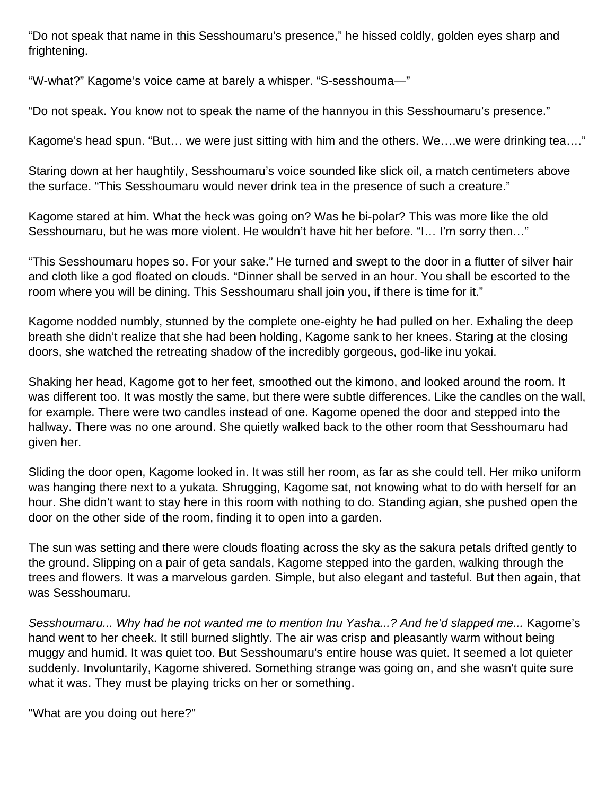"Do not speak that name in this Sesshoumaru's presence," he hissed coldly, golden eyes sharp and frightening.

"W-what?" Kagome's voice came at barely a whisper. "S-sesshouma—"

"Do not speak. You know not to speak the name of the hannyou in this Sesshoumaru's presence."

Kagome's head spun. "But… we were just sitting with him and the others. We….we were drinking tea…."

Staring down at her haughtily, Sesshoumaru's voice sounded like slick oil, a match centimeters above the surface. "This Sesshoumaru would never drink tea in the presence of such a creature."

Kagome stared at him. What the heck was going on? Was he bi-polar? This was more like the old Sesshoumaru, but he was more violent. He wouldn't have hit her before. "I… I'm sorry then…"

"This Sesshoumaru hopes so. For your sake." He turned and swept to the door in a flutter of silver hair and cloth like a god floated on clouds. "Dinner shall be served in an hour. You shall be escorted to the room where you will be dining. This Sesshoumaru shall join you, if there is time for it."

Kagome nodded numbly, stunned by the complete one-eighty he had pulled on her. Exhaling the deep breath she didn't realize that she had been holding, Kagome sank to her knees. Staring at the closing doors, she watched the retreating shadow of the incredibly gorgeous, god-like inu yokai.

Shaking her head, Kagome got to her feet, smoothed out the kimono, and looked around the room. It was different too. It was mostly the same, but there were subtle differences. Like the candles on the wall, for example. There were two candles instead of one. Kagome opened the door and stepped into the hallway. There was no one around. She quietly walked back to the other room that Sesshoumaru had given her.

Sliding the door open, Kagome looked in. It was still her room, as far as she could tell. Her miko uniform was hanging there next to a yukata. Shrugging, Kagome sat, not knowing what to do with herself for an hour. She didn't want to stay here in this room with nothing to do. Standing agian, she pushed open the door on the other side of the room, finding it to open into a garden.

The sun was setting and there were clouds floating across the sky as the sakura petals drifted gently to the ground. Slipping on a pair of geta sandals, Kagome stepped into the garden, walking through the trees and flowers. It was a marvelous garden. Simple, but also elegant and tasteful. But then again, that was Sesshoumaru.

Sesshoumaru... Why had he not wanted me to mention Inu Yasha...? And he'd slapped me... Kagome's hand went to her cheek. It still burned slightly. The air was crisp and pleasantly warm without being muggy and humid. It was quiet too. But Sesshoumaru's entire house was quiet. It seemed a lot quieter suddenly. Involuntarily, Kagome shivered. Something strange was going on, and she wasn't quite sure what it was. They must be playing tricks on her or something.

"What are you doing out here?"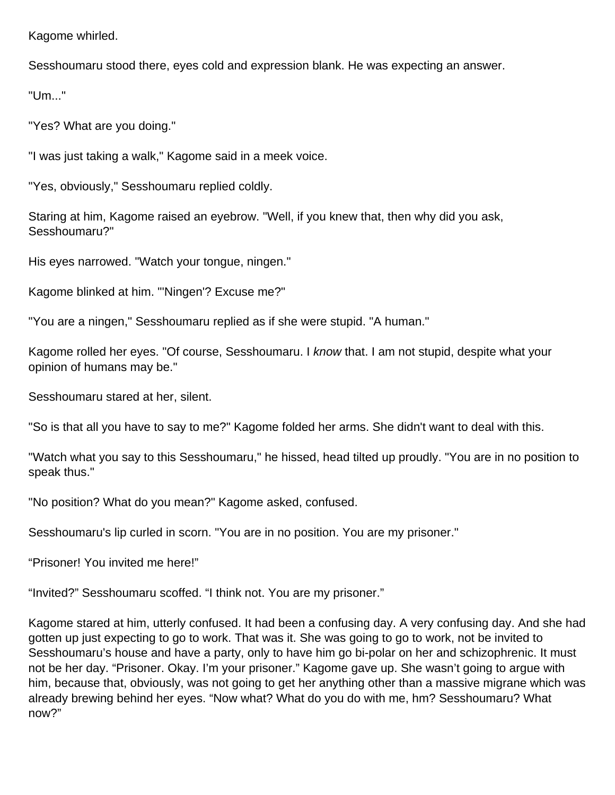Kagome whirled.

Sesshoumaru stood there, eyes cold and expression blank. He was expecting an answer.

"Um..."

"Yes? What are you doing."

"I was just taking a walk," Kagome said in a meek voice.

"Yes, obviously," Sesshoumaru replied coldly.

Staring at him, Kagome raised an eyebrow. "Well, if you knew that, then why did you ask, Sesshoumaru?"

His eyes narrowed. "Watch your tongue, ningen."

Kagome blinked at him. "'Ningen'? Excuse me?"

"You are a ningen," Sesshoumaru replied as if she were stupid. "A human."

Kagome rolled her eyes. "Of course, Sesshoumaru. I know that. I am not stupid, despite what your opinion of humans may be."

Sesshoumaru stared at her, silent.

"So is that all you have to say to me?" Kagome folded her arms. She didn't want to deal with this.

"Watch what you say to this Sesshoumaru," he hissed, head tilted up proudly. "You are in no position to speak thus."

"No position? What do you mean?" Kagome asked, confused.

Sesshoumaru's lip curled in scorn. "You are in no position. You are my prisoner."

"Prisoner! You invited me here!"

"Invited?" Sesshoumaru scoffed. "I think not. You are my prisoner."

Kagome stared at him, utterly confused. It had been a confusing day. A very confusing day. And she had gotten up just expecting to go to work. That was it. She was going to go to work, not be invited to Sesshoumaru's house and have a party, only to have him go bi-polar on her and schizophrenic. It must not be her day. "Prisoner. Okay. I'm your prisoner." Kagome gave up. She wasn't going to argue with him, because that, obviously, was not going to get her anything other than a massive migrane which was already brewing behind her eyes. "Now what? What do you do with me, hm? Sesshoumaru? What now?"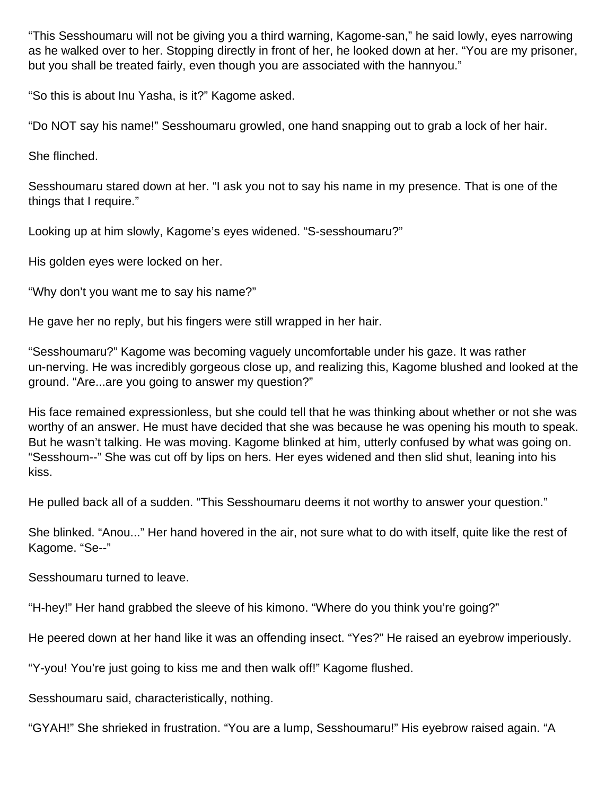"This Sesshoumaru will not be giving you a third warning, Kagome-san," he said lowly, eyes narrowing as he walked over to her. Stopping directly in front of her, he looked down at her. "You are my prisoner, but you shall be treated fairly, even though you are associated with the hannyou."

"So this is about Inu Yasha, is it?" Kagome asked.

"Do NOT say his name!" Sesshoumaru growled, one hand snapping out to grab a lock of her hair.

She flinched.

Sesshoumaru stared down at her. "I ask you not to say his name in my presence. That is one of the things that I require."

Looking up at him slowly, Kagome's eyes widened. "S-sesshoumaru?"

His golden eyes were locked on her.

"Why don't you want me to say his name?"

He gave her no reply, but his fingers were still wrapped in her hair.

"Sesshoumaru?" Kagome was becoming vaguely uncomfortable under his gaze. It was rather un-nerving. He was incredibly gorgeous close up, and realizing this, Kagome blushed and looked at the ground. "Are...are you going to answer my question?"

His face remained expressionless, but she could tell that he was thinking about whether or not she was worthy of an answer. He must have decided that she was because he was opening his mouth to speak. But he wasn't talking. He was moving. Kagome blinked at him, utterly confused by what was going on. "Sesshoum--" She was cut off by lips on hers. Her eyes widened and then slid shut, leaning into his kiss.

He pulled back all of a sudden. "This Sesshoumaru deems it not worthy to answer your question."

She blinked. "Anou..." Her hand hovered in the air, not sure what to do with itself, quite like the rest of Kagome. "Se--"

Sesshoumaru turned to leave.

"H-hey!" Her hand grabbed the sleeve of his kimono. "Where do you think you're going?"

He peered down at her hand like it was an offending insect. "Yes?" He raised an eyebrow imperiously.

"Y-you! You're just going to kiss me and then walk off!" Kagome flushed.

Sesshoumaru said, characteristically, nothing.

"GYAH!" She shrieked in frustration. "You are a lump, Sesshoumaru!" His eyebrow raised again. "A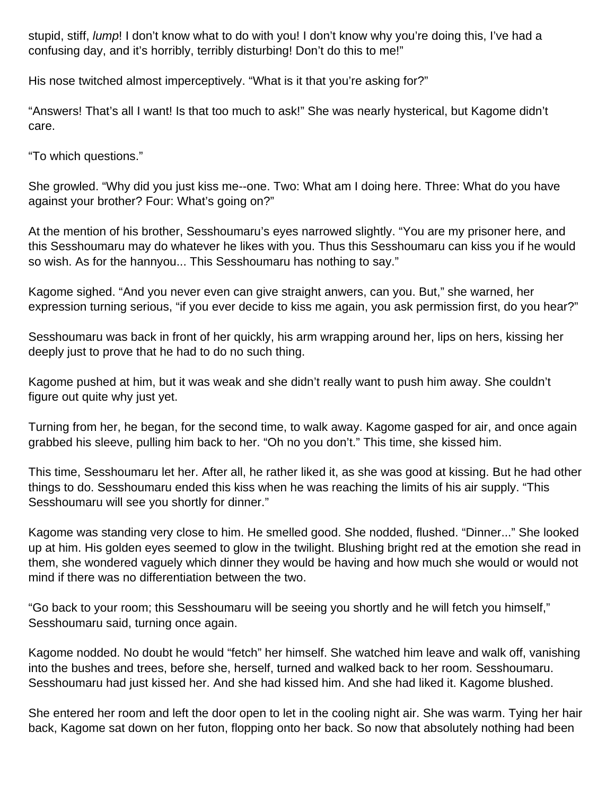stupid, stiff, *lump*! I don't know what to do with you! I don't know why you're doing this, I've had a confusing day, and it's horribly, terribly disturbing! Don't do this to me!"

His nose twitched almost imperceptively. "What is it that you're asking for?"

"Answers! That's all I want! Is that too much to ask!" She was nearly hysterical, but Kagome didn't care.

"To which questions."

She growled. "Why did you just kiss me--one. Two: What am I doing here. Three: What do you have against your brother? Four: What's going on?"

At the mention of his brother, Sesshoumaru's eyes narrowed slightly. "You are my prisoner here, and this Sesshoumaru may do whatever he likes with you. Thus this Sesshoumaru can kiss you if he would so wish. As for the hannyou... This Sesshoumaru has nothing to say."

Kagome sighed. "And you never even can give straight anwers, can you. But," she warned, her expression turning serious, "if you ever decide to kiss me again, you ask permission first, do you hear?"

Sesshoumaru was back in front of her quickly, his arm wrapping around her, lips on hers, kissing her deeply just to prove that he had to do no such thing.

Kagome pushed at him, but it was weak and she didn't really want to push him away. She couldn't figure out quite why just yet.

Turning from her, he began, for the second time, to walk away. Kagome gasped for air, and once again grabbed his sleeve, pulling him back to her. "Oh no you don't." This time, she kissed him.

This time, Sesshoumaru let her. After all, he rather liked it, as she was good at kissing. But he had other things to do. Sesshoumaru ended this kiss when he was reaching the limits of his air supply. "This Sesshoumaru will see you shortly for dinner."

Kagome was standing very close to him. He smelled good. She nodded, flushed. "Dinner..." She looked up at him. His golden eyes seemed to glow in the twilight. Blushing bright red at the emotion she read in them, she wondered vaguely which dinner they would be having and how much she would or would not mind if there was no differentiation between the two.

"Go back to your room; this Sesshoumaru will be seeing you shortly and he will fetch you himself," Sesshoumaru said, turning once again.

Kagome nodded. No doubt he would "fetch" her himself. She watched him leave and walk off, vanishing into the bushes and trees, before she, herself, turned and walked back to her room. Sesshoumaru. Sesshoumaru had just kissed her. And she had kissed him. And she had liked it. Kagome blushed.

She entered her room and left the door open to let in the cooling night air. She was warm. Tying her hair back, Kagome sat down on her futon, flopping onto her back. So now that absolutely nothing had been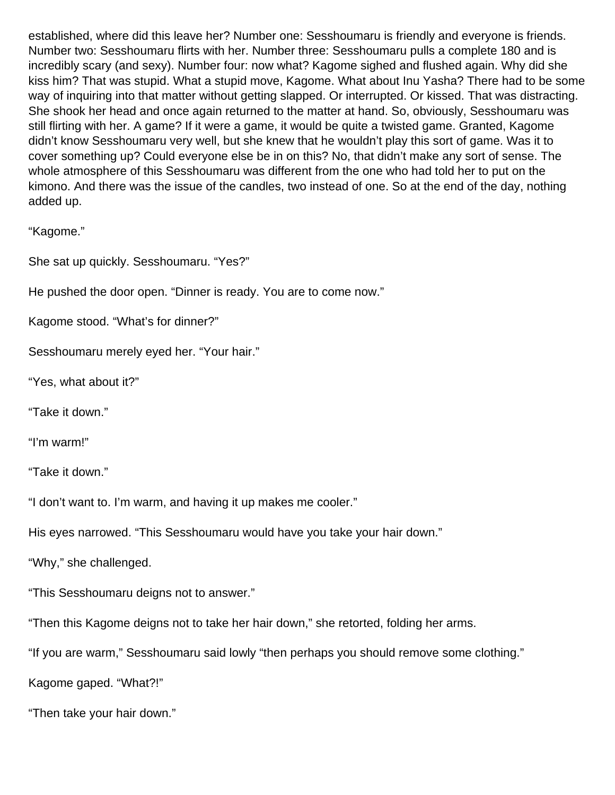established, where did this leave her? Number one: Sesshoumaru is friendly and everyone is friends. Number two: Sesshoumaru flirts with her. Number three: Sesshoumaru pulls a complete 180 and is incredibly scary (and sexy). Number four: now what? Kagome sighed and flushed again. Why did she kiss him? That was stupid. What a stupid move, Kagome. What about Inu Yasha? There had to be some way of inquiring into that matter without getting slapped. Or interrupted. Or kissed. That was distracting. She shook her head and once again returned to the matter at hand. So, obviously, Sesshoumaru was still flirting with her. A game? If it were a game, it would be quite a twisted game. Granted, Kagome didn't know Sesshoumaru very well, but she knew that he wouldn't play this sort of game. Was it to cover something up? Could everyone else be in on this? No, that didn't make any sort of sense. The whole atmosphere of this Sesshoumaru was different from the one who had told her to put on the kimono. And there was the issue of the candles, two instead of one. So at the end of the day, nothing added up.

"Kagome."

She sat up quickly. Sesshoumaru. "Yes?"

He pushed the door open. "Dinner is ready. You are to come now."

Kagome stood. "What's for dinner?"

Sesshoumaru merely eyed her. "Your hair."

"Yes, what about it?"

"Take it down."

"I'm warm!"

"Take it down."

"I don't want to. I'm warm, and having it up makes me cooler."

His eyes narrowed. "This Sesshoumaru would have you take your hair down."

"Why," she challenged.

"This Sesshoumaru deigns not to answer."

"Then this Kagome deigns not to take her hair down," she retorted, folding her arms.

"If you are warm," Sesshoumaru said lowly "then perhaps you should remove some clothing."

Kagome gaped. "What?!"

"Then take your hair down."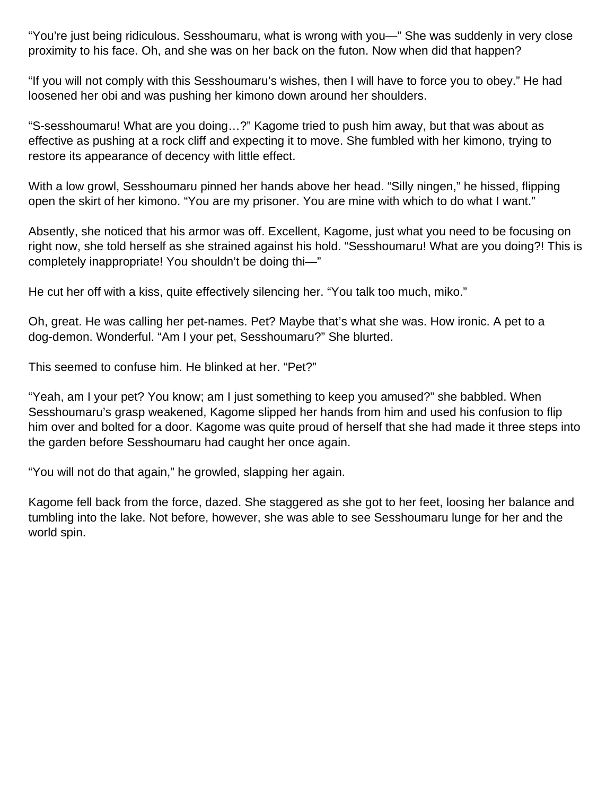"You're just being ridiculous. Sesshoumaru, what is wrong with you—" She was suddenly in very close proximity to his face. Oh, and she was on her back on the futon. Now when did that happen?

"If you will not comply with this Sesshoumaru's wishes, then I will have to force you to obey." He had loosened her obi and was pushing her kimono down around her shoulders.

"S-sesshoumaru! What are you doing…?" Kagome tried to push him away, but that was about as effective as pushing at a rock cliff and expecting it to move. She fumbled with her kimono, trying to restore its appearance of decency with little effect.

With a low growl, Sesshoumaru pinned her hands above her head. "Silly ningen," he hissed, flipping open the skirt of her kimono. "You are my prisoner. You are mine with which to do what I want."

Absently, she noticed that his armor was off. Excellent, Kagome, just what you need to be focusing on right now, she told herself as she strained against his hold. "Sesshoumaru! What are you doing?! This is completely inappropriate! You shouldn't be doing thi—"

He cut her off with a kiss, quite effectively silencing her. "You talk too much, miko."

Oh, great. He was calling her pet-names. Pet? Maybe that's what she was. How ironic. A pet to a dog-demon. Wonderful. "Am I your pet, Sesshoumaru?" She blurted.

This seemed to confuse him. He blinked at her. "Pet?"

"Yeah, am I your pet? You know; am I just something to keep you amused?" she babbled. When Sesshoumaru's grasp weakened, Kagome slipped her hands from him and used his confusion to flip him over and bolted for a door. Kagome was quite proud of herself that she had made it three steps into the garden before Sesshoumaru had caught her once again.

"You will not do that again," he growled, slapping her again.

Kagome fell back from the force, dazed. She staggered as she got to her feet, loosing her balance and tumbling into the lake. Not before, however, she was able to see Sesshoumaru lunge for her and the world spin.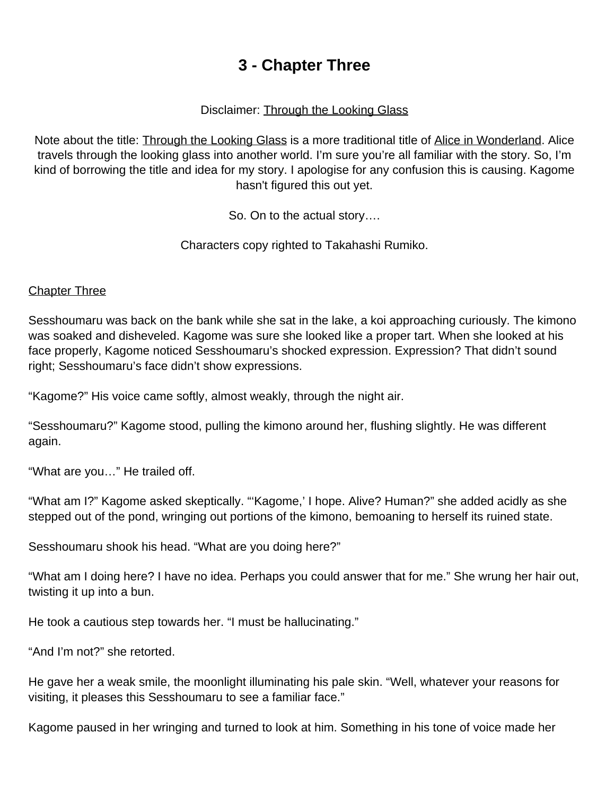# **3 - Chapter Three**

#### Disclaimer: Through the Looking Glass

<span id="page-17-0"></span>Note about the title: **Through the Looking Glass** is a more traditional title of Alice in Wonderland. Alice travels through the looking glass into another world. I'm sure you're all familiar with the story. So, I'm kind of borrowing the title and idea for my story. I apologise for any confusion this is causing. Kagome hasn't figured this out yet.

So. On to the actual story….

Characters copy righted to Takahashi Rumiko.

#### **Chapter Three**

Sesshoumaru was back on the bank while she sat in the lake, a koi approaching curiously. The kimono was soaked and disheveled. Kagome was sure she looked like a proper tart. When she looked at his face properly, Kagome noticed Sesshoumaru's shocked expression. Expression? That didn't sound right; Sesshoumaru's face didn't show expressions.

"Kagome?" His voice came softly, almost weakly, through the night air.

"Sesshoumaru?" Kagome stood, pulling the kimono around her, flushing slightly. He was different again.

"What are you…" He trailed off.

"What am I?" Kagome asked skeptically. "'Kagome,' I hope. Alive? Human?" she added acidly as she stepped out of the pond, wringing out portions of the kimono, bemoaning to herself its ruined state.

Sesshoumaru shook his head. "What are you doing here?"

"What am I doing here? I have no idea. Perhaps you could answer that for me." She wrung her hair out, twisting it up into a bun.

He took a cautious step towards her. "I must be hallucinating."

"And I'm not?" she retorted.

He gave her a weak smile, the moonlight illuminating his pale skin. "Well, whatever your reasons for visiting, it pleases this Sesshoumaru to see a familiar face."

Kagome paused in her wringing and turned to look at him. Something in his tone of voice made her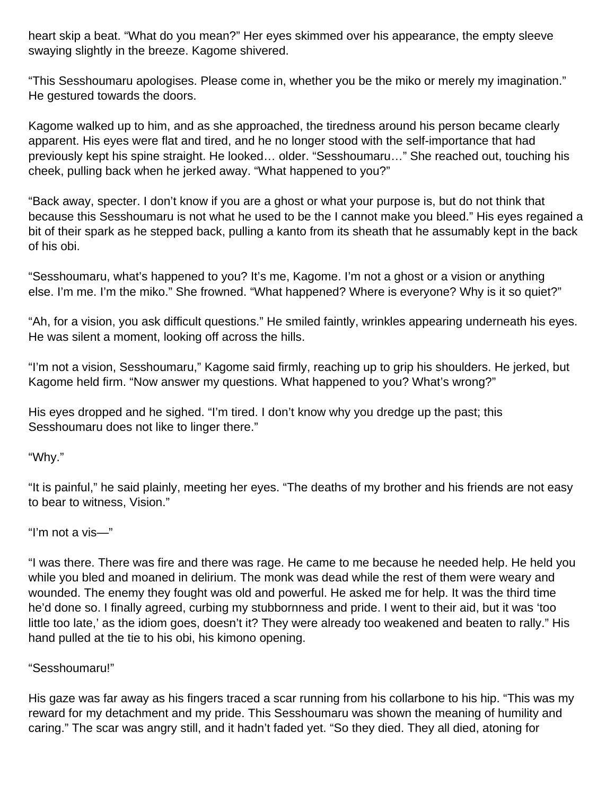heart skip a beat. "What do you mean?" Her eyes skimmed over his appearance, the empty sleeve swaying slightly in the breeze. Kagome shivered.

"This Sesshoumaru apologises. Please come in, whether you be the miko or merely my imagination." He gestured towards the doors.

Kagome walked up to him, and as she approached, the tiredness around his person became clearly apparent. His eyes were flat and tired, and he no longer stood with the self-importance that had previously kept his spine straight. He looked… older. "Sesshoumaru…" She reached out, touching his cheek, pulling back when he jerked away. "What happened to you?"

"Back away, specter. I don't know if you are a ghost or what your purpose is, but do not think that because this Sesshoumaru is not what he used to be the I cannot make you bleed." His eyes regained a bit of their spark as he stepped back, pulling a kanto from its sheath that he assumably kept in the back of his obi.

"Sesshoumaru, what's happened to you? It's me, Kagome. I'm not a ghost or a vision or anything else. I'm me. I'm the miko." She frowned. "What happened? Where is everyone? Why is it so quiet?"

"Ah, for a vision, you ask difficult questions." He smiled faintly, wrinkles appearing underneath his eyes. He was silent a moment, looking off across the hills.

"I'm not a vision, Sesshoumaru," Kagome said firmly, reaching up to grip his shoulders. He jerked, but Kagome held firm. "Now answer my questions. What happened to you? What's wrong?"

His eyes dropped and he sighed. "I'm tired. I don't know why you dredge up the past; this Sesshoumaru does not like to linger there."

"Why."

"It is painful," he said plainly, meeting her eyes. "The deaths of my brother and his friends are not easy to bear to witness, Vision."

"I'm not a vis—"

"I was there. There was fire and there was rage. He came to me because he needed help. He held you while you bled and moaned in delirium. The monk was dead while the rest of them were weary and wounded. The enemy they fought was old and powerful. He asked me for help. It was the third time he'd done so. I finally agreed, curbing my stubbornness and pride. I went to their aid, but it was 'too little too late,' as the idiom goes, doesn't it? They were already too weakened and beaten to rally." His hand pulled at the tie to his obi, his kimono opening.

#### "Sesshoumaru!"

His gaze was far away as his fingers traced a scar running from his collarbone to his hip. "This was my reward for my detachment and my pride. This Sesshoumaru was shown the meaning of humility and caring." The scar was angry still, and it hadn't faded yet. "So they died. They all died, atoning for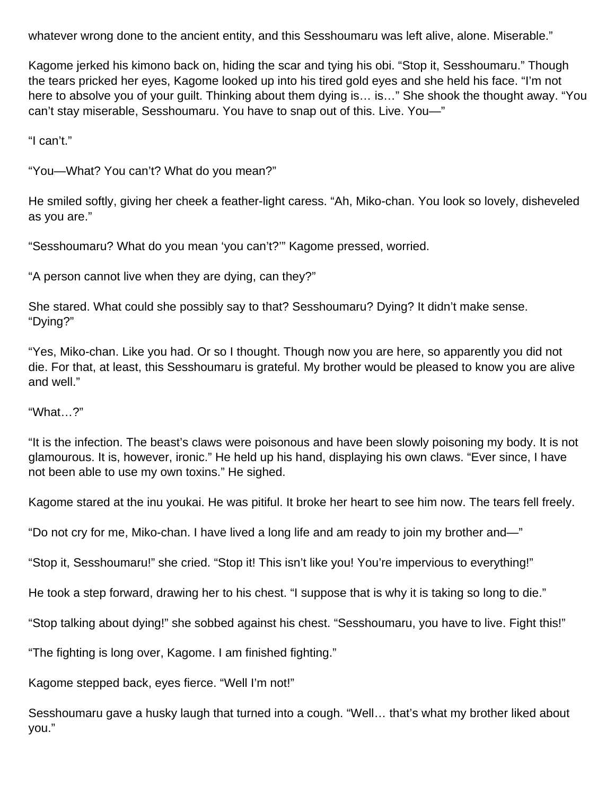whatever wrong done to the ancient entity, and this Sesshoumaru was left alive, alone. Miserable."

Kagome jerked his kimono back on, hiding the scar and tying his obi. "Stop it, Sesshoumaru." Though the tears pricked her eyes, Kagome looked up into his tired gold eyes and she held his face. "I'm not here to absolve you of your guilt. Thinking about them dying is… is…" She shook the thought away. "You can't stay miserable, Sesshoumaru. You have to snap out of this. Live. You—"

"I can't."

"You—What? You can't? What do you mean?"

He smiled softly, giving her cheek a feather-light caress. "Ah, Miko-chan. You look so lovely, disheveled as you are."

"Sesshoumaru? What do you mean 'you can't?'" Kagome pressed, worried.

"A person cannot live when they are dying, can they?"

She stared. What could she possibly say to that? Sesshoumaru? Dying? It didn't make sense. "Dying?"

"Yes, Miko-chan. Like you had. Or so I thought. Though now you are here, so apparently you did not die. For that, at least, this Sesshoumaru is grateful. My brother would be pleased to know you are alive and well."

"What…?"

"It is the infection. The beast's claws were poisonous and have been slowly poisoning my body. It is not glamourous. It is, however, ironic." He held up his hand, displaying his own claws. "Ever since, I have not been able to use my own toxins." He sighed.

Kagome stared at the inu youkai. He was pitiful. It broke her heart to see him now. The tears fell freely.

"Do not cry for me, Miko-chan. I have lived a long life and am ready to join my brother and—"

"Stop it, Sesshoumaru!" she cried. "Stop it! This isn't like you! You're impervious to everything!"

He took a step forward, drawing her to his chest. "I suppose that is why it is taking so long to die."

"Stop talking about dying!" she sobbed against his chest. "Sesshoumaru, you have to live. Fight this!"

"The fighting is long over, Kagome. I am finished fighting."

Kagome stepped back, eyes fierce. "Well I'm not!"

Sesshoumaru gave a husky laugh that turned into a cough. "Well… that's what my brother liked about you."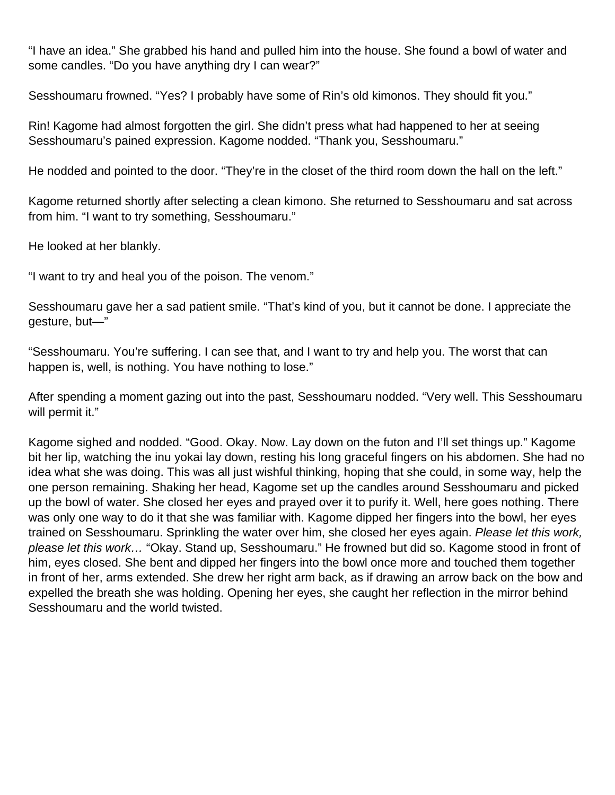"I have an idea." She grabbed his hand and pulled him into the house. She found a bowl of water and some candles. "Do you have anything dry I can wear?"

Sesshoumaru frowned. "Yes? I probably have some of Rin's old kimonos. They should fit you."

Rin! Kagome had almost forgotten the girl. She didn't press what had happened to her at seeing Sesshoumaru's pained expression. Kagome nodded. "Thank you, Sesshoumaru."

He nodded and pointed to the door. "They're in the closet of the third room down the hall on the left."

Kagome returned shortly after selecting a clean kimono. She returned to Sesshoumaru and sat across from him. "I want to try something, Sesshoumaru."

He looked at her blankly.

"I want to try and heal you of the poison. The venom."

Sesshoumaru gave her a sad patient smile. "That's kind of you, but it cannot be done. I appreciate the gesture, but—"

"Sesshoumaru. You're suffering. I can see that, and I want to try and help you. The worst that can happen is, well, is nothing. You have nothing to lose."

After spending a moment gazing out into the past, Sesshoumaru nodded. "Very well. This Sesshoumaru will permit it."

Kagome sighed and nodded. "Good. Okay. Now. Lay down on the futon and I'll set things up." Kagome bit her lip, watching the inu yokai lay down, resting his long graceful fingers on his abdomen. She had no idea what she was doing. This was all just wishful thinking, hoping that she could, in some way, help the one person remaining. Shaking her head, Kagome set up the candles around Sesshoumaru and picked up the bowl of water. She closed her eyes and prayed over it to purify it. Well, here goes nothing. There was only one way to do it that she was familiar with. Kagome dipped her fingers into the bowl, her eyes trained on Sesshoumaru. Sprinkling the water over him, she closed her eyes again. Please let this work, please let this work… "Okay. Stand up, Sesshoumaru." He frowned but did so. Kagome stood in front of him, eyes closed. She bent and dipped her fingers into the bowl once more and touched them together in front of her, arms extended. She drew her right arm back, as if drawing an arrow back on the bow and expelled the breath she was holding. Opening her eyes, she caught her reflection in the mirror behind Sesshoumaru and the world twisted.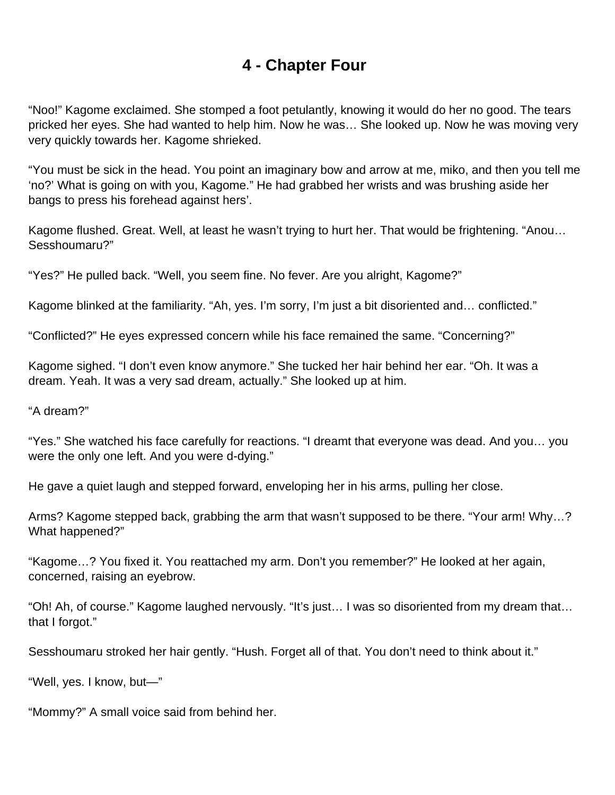# **4 - Chapter Four**

<span id="page-21-0"></span>"Noo!" Kagome exclaimed. She stomped a foot petulantly, knowing it would do her no good. The tears pricked her eyes. She had wanted to help him. Now he was… She looked up. Now he was moving very very quickly towards her. Kagome shrieked.

"You must be sick in the head. You point an imaginary bow and arrow at me, miko, and then you tell me 'no?' What is going on with you, Kagome." He had grabbed her wrists and was brushing aside her bangs to press his forehead against hers'.

Kagome flushed. Great. Well, at least he wasn't trying to hurt her. That would be frightening. "Anou… Sesshoumaru?"

"Yes?" He pulled back. "Well, you seem fine. No fever. Are you alright, Kagome?"

Kagome blinked at the familiarity. "Ah, yes. I'm sorry, I'm just a bit disoriented and… conflicted."

"Conflicted?" He eyes expressed concern while his face remained the same. "Concerning?"

Kagome sighed. "I don't even know anymore." She tucked her hair behind her ear. "Oh. It was a dream. Yeah. It was a very sad dream, actually." She looked up at him.

"A dream?"

"Yes." She watched his face carefully for reactions. "I dreamt that everyone was dead. And you… you were the only one left. And you were d-dying."

He gave a quiet laugh and stepped forward, enveloping her in his arms, pulling her close.

Arms? Kagome stepped back, grabbing the arm that wasn't supposed to be there. "Your arm! Why…? What happened?"

"Kagome…? You fixed it. You reattached my arm. Don't you remember?" He looked at her again, concerned, raising an eyebrow.

"Oh! Ah, of course." Kagome laughed nervously. "It's just… I was so disoriented from my dream that… that I forgot."

Sesshoumaru stroked her hair gently. "Hush. Forget all of that. You don't need to think about it."

"Well, yes. I know, but—"

"Mommy?" A small voice said from behind her.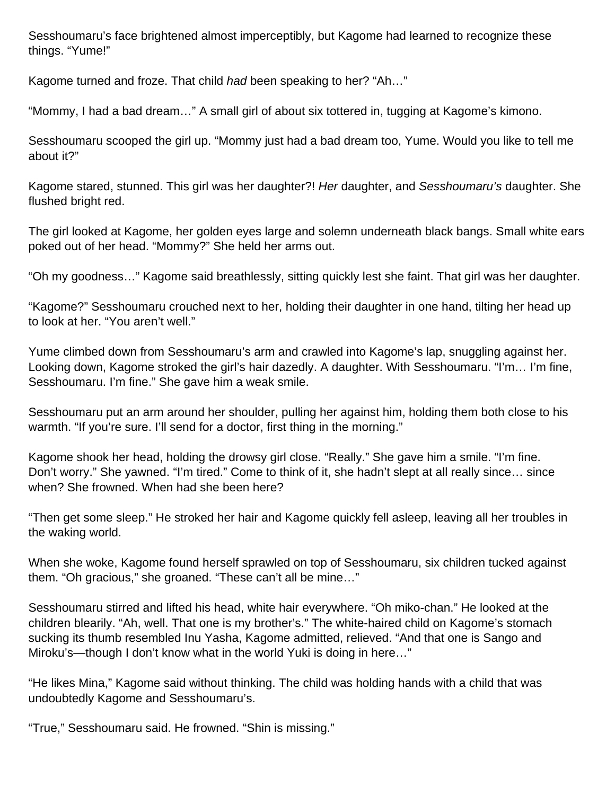Sesshoumaru's face brightened almost imperceptibly, but Kagome had learned to recognize these things. "Yume!"

Kagome turned and froze. That child had been speaking to her? "Ah..."

"Mommy, I had a bad dream…" A small girl of about six tottered in, tugging at Kagome's kimono.

Sesshoumaru scooped the girl up. "Mommy just had a bad dream too, Yume. Would you like to tell me about it?"

Kagome stared, stunned. This girl was her daughter?! Her daughter, and Sesshoumaru's daughter. She flushed bright red.

The girl looked at Kagome, her golden eyes large and solemn underneath black bangs. Small white ears poked out of her head. "Mommy?" She held her arms out.

"Oh my goodness…" Kagome said breathlessly, sitting quickly lest she faint. That girl was her daughter.

"Kagome?" Sesshoumaru crouched next to her, holding their daughter in one hand, tilting her head up to look at her. "You aren't well."

Yume climbed down from Sesshoumaru's arm and crawled into Kagome's lap, snuggling against her. Looking down, Kagome stroked the girl's hair dazedly. A daughter. With Sesshoumaru. "I'm… I'm fine, Sesshoumaru. I'm fine." She gave him a weak smile.

Sesshoumaru put an arm around her shoulder, pulling her against him, holding them both close to his warmth. "If you're sure. I'll send for a doctor, first thing in the morning."

Kagome shook her head, holding the drowsy girl close. "Really." She gave him a smile. "I'm fine. Don't worry." She yawned. "I'm tired." Come to think of it, she hadn't slept at all really since… since when? She frowned. When had she been here?

"Then get some sleep." He stroked her hair and Kagome quickly fell asleep, leaving all her troubles in the waking world.

When she woke, Kagome found herself sprawled on top of Sesshoumaru, six children tucked against them. "Oh gracious," she groaned. "These can't all be mine…"

Sesshoumaru stirred and lifted his head, white hair everywhere. "Oh miko-chan." He looked at the children blearily. "Ah, well. That one is my brother's." The white-haired child on Kagome's stomach sucking its thumb resembled Inu Yasha, Kagome admitted, relieved. "And that one is Sango and Miroku's—though I don't know what in the world Yuki is doing in here…"

"He likes Mina," Kagome said without thinking. The child was holding hands with a child that was undoubtedly Kagome and Sesshoumaru's.

"True," Sesshoumaru said. He frowned. "Shin is missing."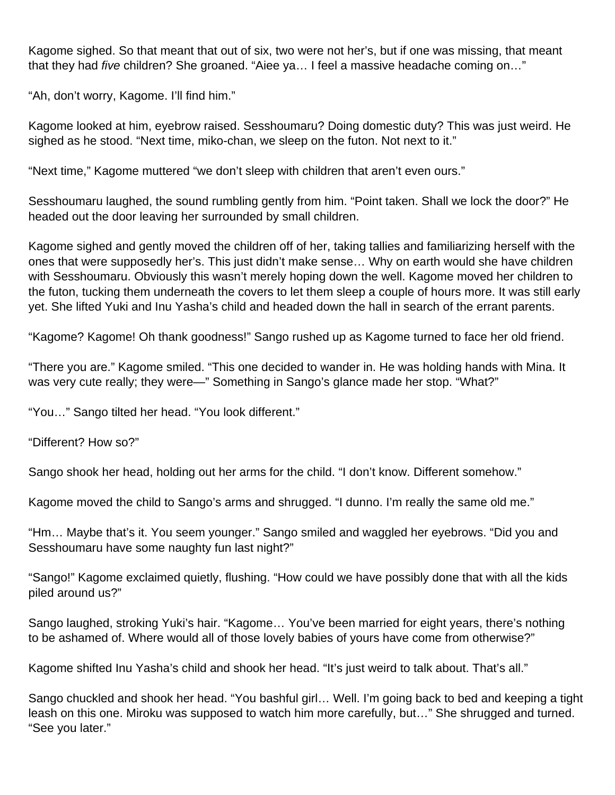Kagome sighed. So that meant that out of six, two were not her's, but if one was missing, that meant that they had five children? She groaned. "Aiee ya... I feel a massive headache coming on..."

"Ah, don't worry, Kagome. I'll find him."

Kagome looked at him, eyebrow raised. Sesshoumaru? Doing domestic duty? This was just weird. He sighed as he stood. "Next time, miko-chan, we sleep on the futon. Not next to it."

"Next time," Kagome muttered "we don't sleep with children that aren't even ours."

Sesshoumaru laughed, the sound rumbling gently from him. "Point taken. Shall we lock the door?" He headed out the door leaving her surrounded by small children.

Kagome sighed and gently moved the children off of her, taking tallies and familiarizing herself with the ones that were supposedly her's. This just didn't make sense… Why on earth would she have children with Sesshoumaru. Obviously this wasn't merely hoping down the well. Kagome moved her children to the futon, tucking them underneath the covers to let them sleep a couple of hours more. It was still early yet. She lifted Yuki and Inu Yasha's child and headed down the hall in search of the errant parents.

"Kagome? Kagome! Oh thank goodness!" Sango rushed up as Kagome turned to face her old friend.

"There you are." Kagome smiled. "This one decided to wander in. He was holding hands with Mina. It was very cute really; they were—" Something in Sango's glance made her stop. "What?"

"You…" Sango tilted her head. "You look different."

"Different? How so?"

Sango shook her head, holding out her arms for the child. "I don't know. Different somehow."

Kagome moved the child to Sango's arms and shrugged. "I dunno. I'm really the same old me."

"Hm… Maybe that's it. You seem younger." Sango smiled and waggled her eyebrows. "Did you and Sesshoumaru have some naughty fun last night?"

"Sango!" Kagome exclaimed quietly, flushing. "How could we have possibly done that with all the kids piled around us?"

Sango laughed, stroking Yuki's hair. "Kagome… You've been married for eight years, there's nothing to be ashamed of. Where would all of those lovely babies of yours have come from otherwise?"

Kagome shifted Inu Yasha's child and shook her head. "It's just weird to talk about. That's all."

Sango chuckled and shook her head. "You bashful girl… Well. I'm going back to bed and keeping a tight leash on this one. Miroku was supposed to watch him more carefully, but…" She shrugged and turned. "See you later."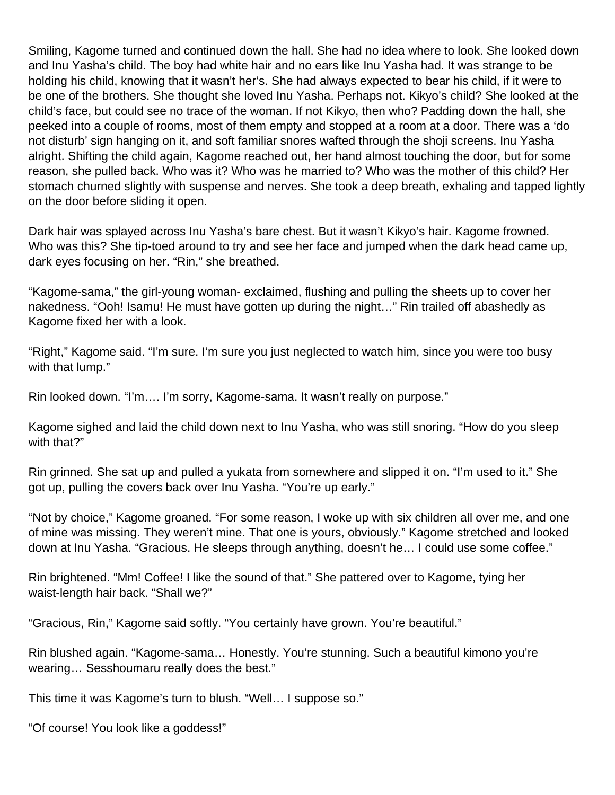Smiling, Kagome turned and continued down the hall. She had no idea where to look. She looked down and Inu Yasha's child. The boy had white hair and no ears like Inu Yasha had. It was strange to be holding his child, knowing that it wasn't her's. She had always expected to bear his child, if it were to be one of the brothers. She thought she loved Inu Yasha. Perhaps not. Kikyo's child? She looked at the child's face, but could see no trace of the woman. If not Kikyo, then who? Padding down the hall, she peeked into a couple of rooms, most of them empty and stopped at a room at a door. There was a 'do not disturb' sign hanging on it, and soft familiar snores wafted through the shoji screens. Inu Yasha alright. Shifting the child again, Kagome reached out, her hand almost touching the door, but for some reason, she pulled back. Who was it? Who was he married to? Who was the mother of this child? Her stomach churned slightly with suspense and nerves. She took a deep breath, exhaling and tapped lightly on the door before sliding it open.

Dark hair was splayed across Inu Yasha's bare chest. But it wasn't Kikyo's hair. Kagome frowned. Who was this? She tip-toed around to try and see her face and jumped when the dark head came up, dark eyes focusing on her. "Rin," she breathed.

"Kagome-sama," the girl-young woman- exclaimed, flushing and pulling the sheets up to cover her nakedness. "Ooh! Isamu! He must have gotten up during the night…" Rin trailed off abashedly as Kagome fixed her with a look.

"Right," Kagome said. "I'm sure. I'm sure you just neglected to watch him, since you were too busy with that lump."

Rin looked down. "I'm…. I'm sorry, Kagome-sama. It wasn't really on purpose."

Kagome sighed and laid the child down next to Inu Yasha, who was still snoring. "How do you sleep with that?"

Rin grinned. She sat up and pulled a yukata from somewhere and slipped it on. "I'm used to it." She got up, pulling the covers back over Inu Yasha. "You're up early."

"Not by choice," Kagome groaned. "For some reason, I woke up with six children all over me, and one of mine was missing. They weren't mine. That one is yours, obviously." Kagome stretched and looked down at Inu Yasha. "Gracious. He sleeps through anything, doesn't he… I could use some coffee."

Rin brightened. "Mm! Coffee! I like the sound of that." She pattered over to Kagome, tying her waist-length hair back. "Shall we?"

"Gracious, Rin," Kagome said softly. "You certainly have grown. You're beautiful."

Rin blushed again. "Kagome-sama… Honestly. You're stunning. Such a beautiful kimono you're wearing… Sesshoumaru really does the best."

This time it was Kagome's turn to blush. "Well… I suppose so."

"Of course! You look like a goddess!"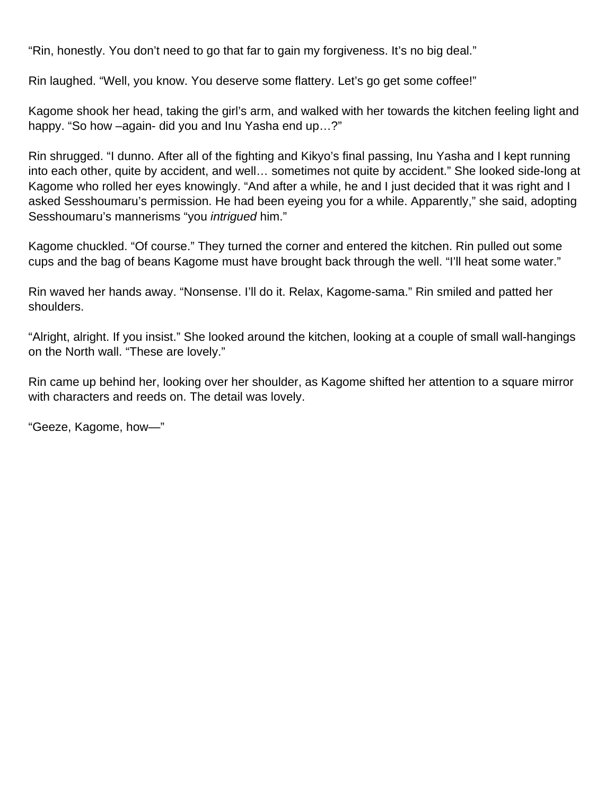"Rin, honestly. You don't need to go that far to gain my forgiveness. It's no big deal."

Rin laughed. "Well, you know. You deserve some flattery. Let's go get some coffee!"

Kagome shook her head, taking the girl's arm, and walked with her towards the kitchen feeling light and happy. "So how –again- did you and Inu Yasha end up...?"

Rin shrugged. "I dunno. After all of the fighting and Kikyo's final passing, Inu Yasha and I kept running into each other, quite by accident, and well… sometimes not quite by accident." She looked side-long at Kagome who rolled her eyes knowingly. "And after a while, he and I just decided that it was right and I asked Sesshoumaru's permission. He had been eyeing you for a while. Apparently," she said, adopting Sesshoumaru's mannerisms "you *intriqued* him."

Kagome chuckled. "Of course." They turned the corner and entered the kitchen. Rin pulled out some cups and the bag of beans Kagome must have brought back through the well. "I'll heat some water."

Rin waved her hands away. "Nonsense. I'll do it. Relax, Kagome-sama." Rin smiled and patted her shoulders.

"Alright, alright. If you insist." She looked around the kitchen, looking at a couple of small wall-hangings on the North wall. "These are lovely."

Rin came up behind her, looking over her shoulder, as Kagome shifted her attention to a square mirror with characters and reeds on. The detail was lovely.

"Geeze, Kagome, how—"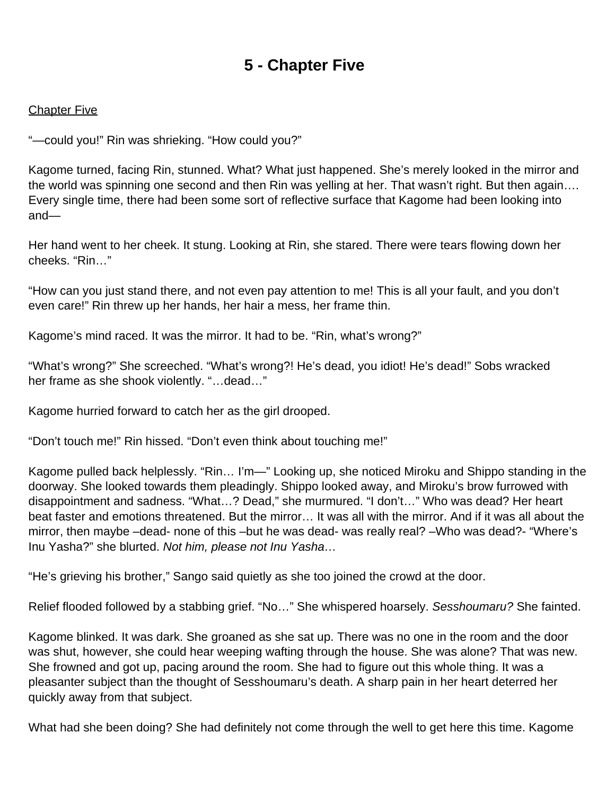# **5 - Chapter Five**

#### <span id="page-26-0"></span>**Chapter Five**

"—could you!" Rin was shrieking. "How could you?"

Kagome turned, facing Rin, stunned. What? What just happened. She's merely looked in the mirror and the world was spinning one second and then Rin was yelling at her. That wasn't right. But then again…. Every single time, there had been some sort of reflective surface that Kagome had been looking into and—

Her hand went to her cheek. It stung. Looking at Rin, she stared. There were tears flowing down her cheeks. "Rin…"

"How can you just stand there, and not even pay attention to me! This is all your fault, and you don't even care!" Rin threw up her hands, her hair a mess, her frame thin.

Kagome's mind raced. It was the mirror. It had to be. "Rin, what's wrong?"

"What's wrong?" She screeched. "What's wrong?! He's dead, you idiot! He's dead!" Sobs wracked her frame as she shook violently. "…dead…"

Kagome hurried forward to catch her as the girl drooped.

"Don't touch me!" Rin hissed. "Don't even think about touching me!"

Kagome pulled back helplessly. "Rin… I'm—" Looking up, she noticed Miroku and Shippo standing in the doorway. She looked towards them pleadingly. Shippo looked away, and Miroku's brow furrowed with disappointment and sadness. "What…? Dead," she murmured. "I don't…" Who was dead? Her heart beat faster and emotions threatened. But the mirror… It was all with the mirror. And if it was all about the mirror, then maybe –dead- none of this –but he was dead- was really real? –Who was dead?- "Where's Inu Yasha?" she blurted. Not him, please not Inu Yasha…

"He's grieving his brother," Sango said quietly as she too joined the crowd at the door.

Relief flooded followed by a stabbing grief. "No..." She whispered hoarsely. Sesshoumaru? She fainted.

Kagome blinked. It was dark. She groaned as she sat up. There was no one in the room and the door was shut, however, she could hear weeping wafting through the house. She was alone? That was new. She frowned and got up, pacing around the room. She had to figure out this whole thing. It was a pleasanter subject than the thought of Sesshoumaru's death. A sharp pain in her heart deterred her quickly away from that subject.

What had she been doing? She had definitely not come through the well to get here this time. Kagome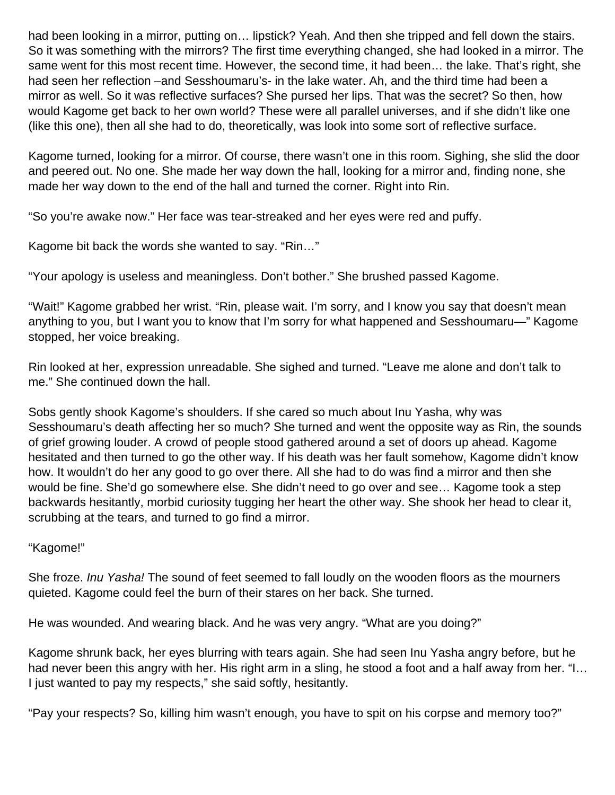had been looking in a mirror, putting on… lipstick? Yeah. And then she tripped and fell down the stairs. So it was something with the mirrors? The first time everything changed, she had looked in a mirror. The same went for this most recent time. However, the second time, it had been… the lake. That's right, she had seen her reflection –and Sesshoumaru's- in the lake water. Ah, and the third time had been a mirror as well. So it was reflective surfaces? She pursed her lips. That was the secret? So then, how would Kagome get back to her own world? These were all parallel universes, and if she didn't like one (like this one), then all she had to do, theoretically, was look into some sort of reflective surface.

Kagome turned, looking for a mirror. Of course, there wasn't one in this room. Sighing, she slid the door and peered out. No one. She made her way down the hall, looking for a mirror and, finding none, she made her way down to the end of the hall and turned the corner. Right into Rin.

"So you're awake now." Her face was tear-streaked and her eyes were red and puffy.

Kagome bit back the words she wanted to say. "Rin…"

"Your apology is useless and meaningless. Don't bother." She brushed passed Kagome.

"Wait!" Kagome grabbed her wrist. "Rin, please wait. I'm sorry, and I know you say that doesn't mean anything to you, but I want you to know that I'm sorry for what happened and Sesshoumaru—" Kagome stopped, her voice breaking.

Rin looked at her, expression unreadable. She sighed and turned. "Leave me alone and don't talk to me." She continued down the hall.

Sobs gently shook Kagome's shoulders. If she cared so much about Inu Yasha, why was Sesshoumaru's death affecting her so much? She turned and went the opposite way as Rin, the sounds of grief growing louder. A crowd of people stood gathered around a set of doors up ahead. Kagome hesitated and then turned to go the other way. If his death was her fault somehow, Kagome didn't know how. It wouldn't do her any good to go over there. All she had to do was find a mirror and then she would be fine. She'd go somewhere else. She didn't need to go over and see… Kagome took a step backwards hesitantly, morbid curiosity tugging her heart the other way. She shook her head to clear it, scrubbing at the tears, and turned to go find a mirror.

#### "Kagome!"

She froze. Inu Yasha! The sound of feet seemed to fall loudly on the wooden floors as the mourners quieted. Kagome could feel the burn of their stares on her back. She turned.

He was wounded. And wearing black. And he was very angry. "What are you doing?"

Kagome shrunk back, her eyes blurring with tears again. She had seen Inu Yasha angry before, but he had never been this angry with her. His right arm in a sling, he stood a foot and a half away from her. "I… I just wanted to pay my respects," she said softly, hesitantly.

"Pay your respects? So, killing him wasn't enough, you have to spit on his corpse and memory too?"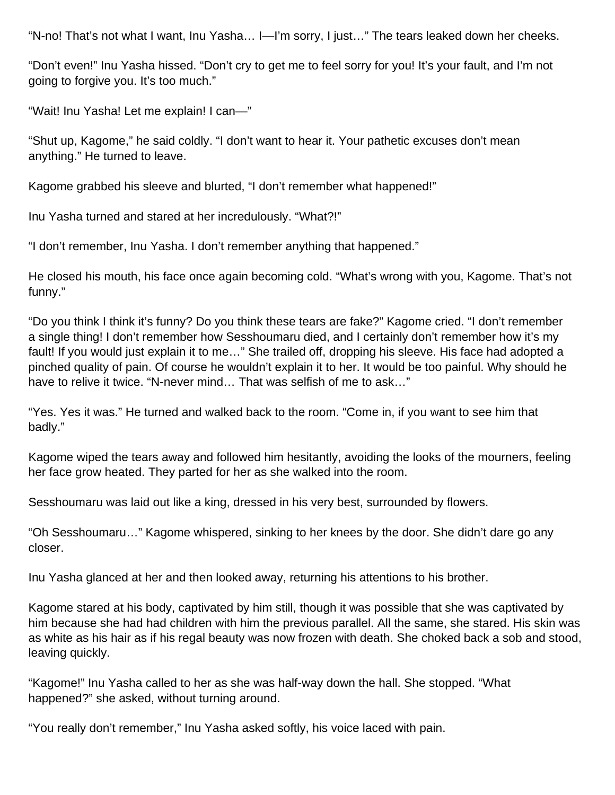"N-no! That's not what I want, Inu Yasha… I—I'm sorry, I just…" The tears leaked down her cheeks.

"Don't even!" Inu Yasha hissed. "Don't cry to get me to feel sorry for you! It's your fault, and I'm not going to forgive you. It's too much."

"Wait! Inu Yasha! Let me explain! I can—"

"Shut up, Kagome," he said coldly. "I don't want to hear it. Your pathetic excuses don't mean anything." He turned to leave.

Kagome grabbed his sleeve and blurted, "I don't remember what happened!"

Inu Yasha turned and stared at her incredulously. "What?!"

"I don't remember, Inu Yasha. I don't remember anything that happened."

He closed his mouth, his face once again becoming cold. "What's wrong with you, Kagome. That's not funny."

"Do you think I think it's funny? Do you think these tears are fake?" Kagome cried. "I don't remember a single thing! I don't remember how Sesshoumaru died, and I certainly don't remember how it's my fault! If you would just explain it to me…" She trailed off, dropping his sleeve. His face had adopted a pinched quality of pain. Of course he wouldn't explain it to her. It would be too painful. Why should he have to relive it twice. "N-never mind... That was selfish of me to ask..."

"Yes. Yes it was." He turned and walked back to the room. "Come in, if you want to see him that badly."

Kagome wiped the tears away and followed him hesitantly, avoiding the looks of the mourners, feeling her face grow heated. They parted for her as she walked into the room.

Sesshoumaru was laid out like a king, dressed in his very best, surrounded by flowers.

"Oh Sesshoumaru…" Kagome whispered, sinking to her knees by the door. She didn't dare go any closer.

Inu Yasha glanced at her and then looked away, returning his attentions to his brother.

Kagome stared at his body, captivated by him still, though it was possible that she was captivated by him because she had had children with him the previous parallel. All the same, she stared. His skin was as white as his hair as if his regal beauty was now frozen with death. She choked back a sob and stood, leaving quickly.

"Kagome!" Inu Yasha called to her as she was half-way down the hall. She stopped. "What happened?" she asked, without turning around.

"You really don't remember," Inu Yasha asked softly, his voice laced with pain.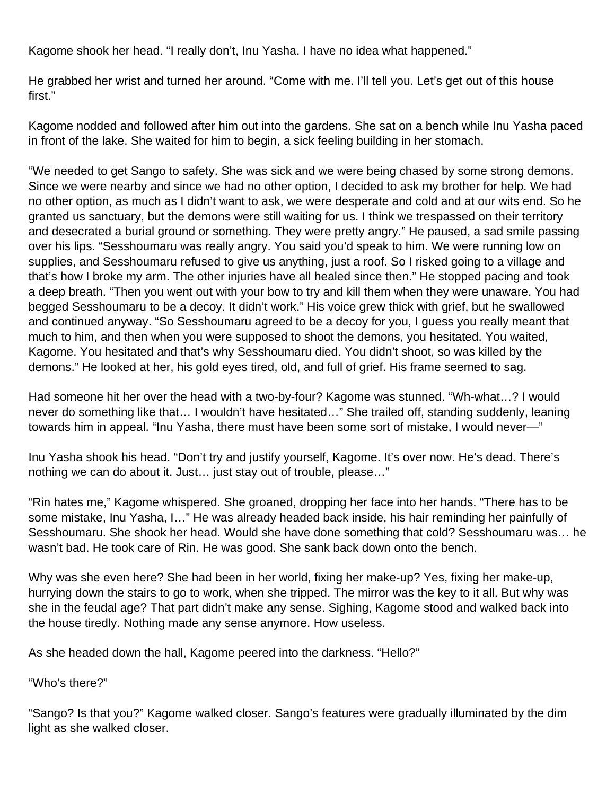Kagome shook her head. "I really don't, Inu Yasha. I have no idea what happened."

He grabbed her wrist and turned her around. "Come with me. I'll tell you. Let's get out of this house first."

Kagome nodded and followed after him out into the gardens. She sat on a bench while Inu Yasha paced in front of the lake. She waited for him to begin, a sick feeling building in her stomach.

"We needed to get Sango to safety. She was sick and we were being chased by some strong demons. Since we were nearby and since we had no other option, I decided to ask my brother for help. We had no other option, as much as I didn't want to ask, we were desperate and cold and at our wits end. So he granted us sanctuary, but the demons were still waiting for us. I think we trespassed on their territory and desecrated a burial ground or something. They were pretty angry." He paused, a sad smile passing over his lips. "Sesshoumaru was really angry. You said you'd speak to him. We were running low on supplies, and Sesshoumaru refused to give us anything, just a roof. So I risked going to a village and that's how I broke my arm. The other injuries have all healed since then." He stopped pacing and took a deep breath. "Then you went out with your bow to try and kill them when they were unaware. You had begged Sesshoumaru to be a decoy. It didn't work." His voice grew thick with grief, but he swallowed and continued anyway. "So Sesshoumaru agreed to be a decoy for you, I guess you really meant that much to him, and then when you were supposed to shoot the demons, you hesitated. You waited, Kagome. You hesitated and that's why Sesshoumaru died. You didn't shoot, so was killed by the demons." He looked at her, his gold eyes tired, old, and full of grief. His frame seemed to sag.

Had someone hit her over the head with a two-by-four? Kagome was stunned. "Wh-what…? I would never do something like that… I wouldn't have hesitated…" She trailed off, standing suddenly, leaning towards him in appeal. "Inu Yasha, there must have been some sort of mistake, I would never—"

Inu Yasha shook his head. "Don't try and justify yourself, Kagome. It's over now. He's dead. There's nothing we can do about it. Just… just stay out of trouble, please…"

"Rin hates me," Kagome whispered. She groaned, dropping her face into her hands. "There has to be some mistake, Inu Yasha, I…" He was already headed back inside, his hair reminding her painfully of Sesshoumaru. She shook her head. Would she have done something that cold? Sesshoumaru was… he wasn't bad. He took care of Rin. He was good. She sank back down onto the bench.

Why was she even here? She had been in her world, fixing her make-up? Yes, fixing her make-up, hurrying down the stairs to go to work, when she tripped. The mirror was the key to it all. But why was she in the feudal age? That part didn't make any sense. Sighing, Kagome stood and walked back into the house tiredly. Nothing made any sense anymore. How useless.

As she headed down the hall, Kagome peered into the darkness. "Hello?"

"Who's there?"

"Sango? Is that you?" Kagome walked closer. Sango's features were gradually illuminated by the dim light as she walked closer.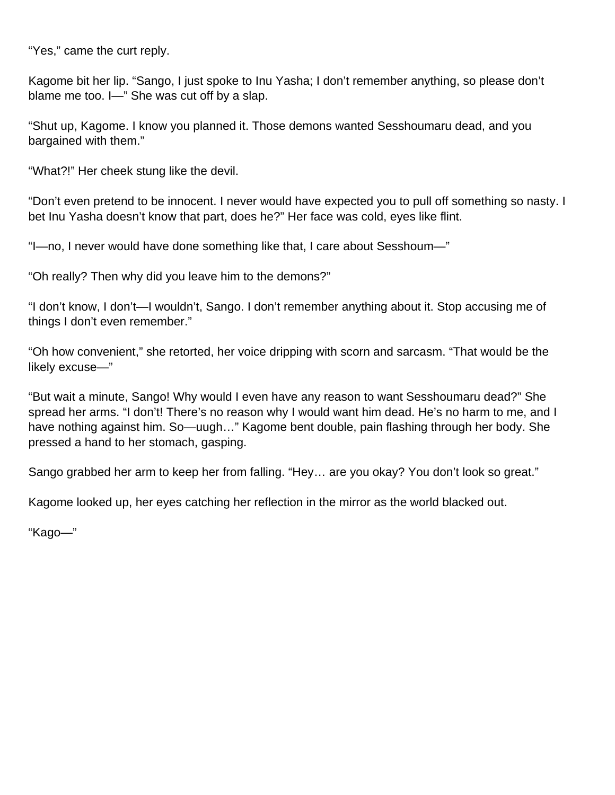"Yes," came the curt reply.

Kagome bit her lip. "Sango, I just spoke to Inu Yasha; I don't remember anything, so please don't blame me too. I—" She was cut off by a slap.

"Shut up, Kagome. I know you planned it. Those demons wanted Sesshoumaru dead, and you bargained with them."

"What?!" Her cheek stung like the devil.

"Don't even pretend to be innocent. I never would have expected you to pull off something so nasty. I bet Inu Yasha doesn't know that part, does he?" Her face was cold, eyes like flint.

"I—no, I never would have done something like that, I care about Sesshoum—"

"Oh really? Then why did you leave him to the demons?"

"I don't know, I don't—I wouldn't, Sango. I don't remember anything about it. Stop accusing me of things I don't even remember."

"Oh how convenient," she retorted, her voice dripping with scorn and sarcasm. "That would be the likely excuse—"

"But wait a minute, Sango! Why would I even have any reason to want Sesshoumaru dead?" She spread her arms. "I don't! There's no reason why I would want him dead. He's no harm to me, and I have nothing against him. So—uugh…" Kagome bent double, pain flashing through her body. She pressed a hand to her stomach, gasping.

Sango grabbed her arm to keep her from falling. "Hey… are you okay? You don't look so great."

Kagome looked up, her eyes catching her reflection in the mirror as the world blacked out.

"Kago—"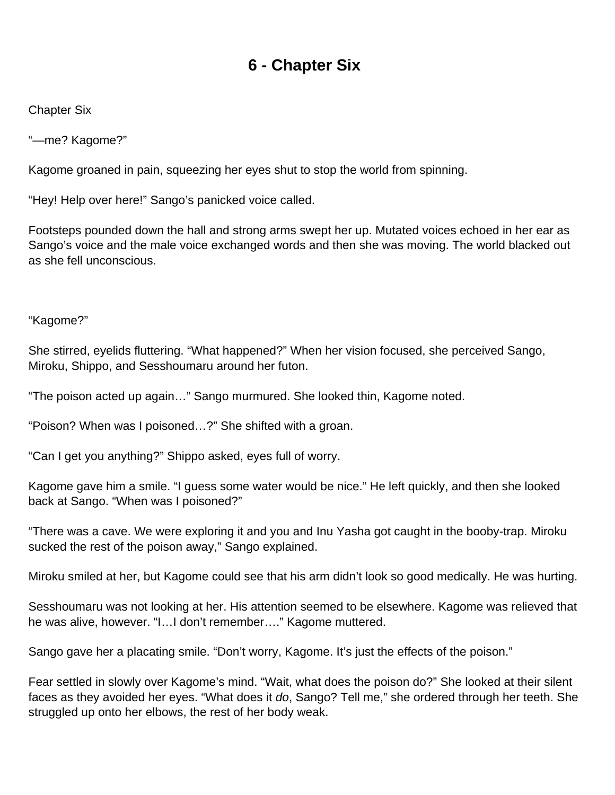# **6 - Chapter Six**

<span id="page-31-0"></span>Chapter Six

"—me? Kagome?"

Kagome groaned in pain, squeezing her eyes shut to stop the world from spinning.

"Hey! Help over here!" Sango's panicked voice called.

Footsteps pounded down the hall and strong arms swept her up. Mutated voices echoed in her ear as Sango's voice and the male voice exchanged words and then she was moving. The world blacked out as she fell unconscious.

"Kagome?"

She stirred, eyelids fluttering. "What happened?" When her vision focused, she perceived Sango, Miroku, Shippo, and Sesshoumaru around her futon.

"The poison acted up again…" Sango murmured. She looked thin, Kagome noted.

"Poison? When was I poisoned…?" She shifted with a groan.

"Can I get you anything?" Shippo asked, eyes full of worry.

Kagome gave him a smile. "I guess some water would be nice." He left quickly, and then she looked back at Sango. "When was I poisoned?"

"There was a cave. We were exploring it and you and Inu Yasha got caught in the booby-trap. Miroku sucked the rest of the poison away," Sango explained.

Miroku smiled at her, but Kagome could see that his arm didn't look so good medically. He was hurting.

Sesshoumaru was not looking at her. His attention seemed to be elsewhere. Kagome was relieved that he was alive, however. "I…I don't remember…." Kagome muttered.

Sango gave her a placating smile. "Don't worry, Kagome. It's just the effects of the poison."

Fear settled in slowly over Kagome's mind. "Wait, what does the poison do?" She looked at their silent faces as they avoided her eyes. "What does it do, Sango? Tell me," she ordered through her teeth. She struggled up onto her elbows, the rest of her body weak.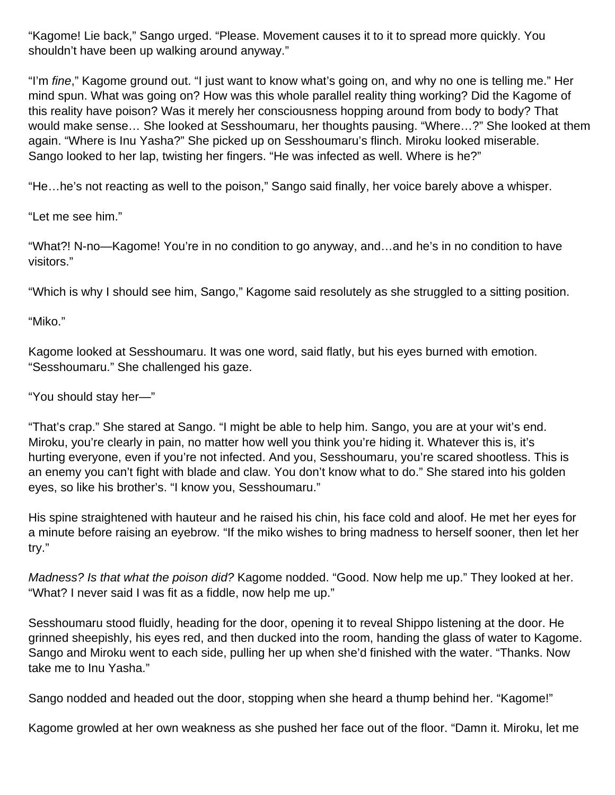"Kagome! Lie back," Sango urged. "Please. Movement causes it to it to spread more quickly. You shouldn't have been up walking around anyway."

"I'm *fine*," Kagome ground out. "I just want to know what's going on, and why no one is telling me." Her mind spun. What was going on? How was this whole parallel reality thing working? Did the Kagome of this reality have poison? Was it merely her consciousness hopping around from body to body? That would make sense… She looked at Sesshoumaru, her thoughts pausing. "Where…?" She looked at them again. "Where is Inu Yasha?" She picked up on Sesshoumaru's flinch. Miroku looked miserable. Sango looked to her lap, twisting her fingers. "He was infected as well. Where is he?"

"He…he's not reacting as well to the poison," Sango said finally, her voice barely above a whisper.

"Let me see him."

"What?! N-no—Kagome! You're in no condition to go anyway, and…and he's in no condition to have visitors."

"Which is why I should see him, Sango," Kagome said resolutely as she struggled to a sitting position.

"Miko."

Kagome looked at Sesshoumaru. It was one word, said flatly, but his eyes burned with emotion. "Sesshoumaru." She challenged his gaze.

"You should stay her—"

"That's crap." She stared at Sango. "I might be able to help him. Sango, you are at your wit's end. Miroku, you're clearly in pain, no matter how well you think you're hiding it. Whatever this is, it's hurting everyone, even if you're not infected. And you, Sesshoumaru, you're scared shootless. This is an enemy you can't fight with blade and claw. You don't know what to do." She stared into his golden eyes, so like his brother's. "I know you, Sesshoumaru."

His spine straightened with hauteur and he raised his chin, his face cold and aloof. He met her eyes for a minute before raising an eyebrow. "If the miko wishes to bring madness to herself sooner, then let her try."

Madness? Is that what the poison did? Kagome nodded. "Good. Now help me up." They looked at her. "What? I never said I was fit as a fiddle, now help me up."

Sesshoumaru stood fluidly, heading for the door, opening it to reveal Shippo listening at the door. He grinned sheepishly, his eyes red, and then ducked into the room, handing the glass of water to Kagome. Sango and Miroku went to each side, pulling her up when she'd finished with the water. "Thanks. Now take me to Inu Yasha."

Sango nodded and headed out the door, stopping when she heard a thump behind her. "Kagome!"

Kagome growled at her own weakness as she pushed her face out of the floor. "Damn it. Miroku, let me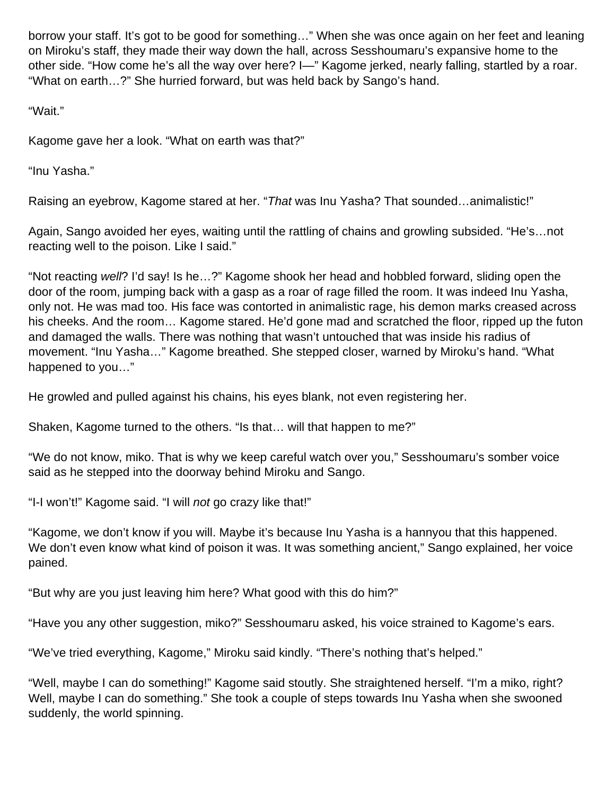borrow your staff. It's got to be good for something…" When she was once again on her feet and leaning on Miroku's staff, they made their way down the hall, across Sesshoumaru's expansive home to the other side. "How come he's all the way over here? I—" Kagome jerked, nearly falling, startled by a roar. "What on earth…?" She hurried forward, but was held back by Sango's hand.

"Wait."

Kagome gave her a look. "What on earth was that?"

"Inu Yasha."

Raising an eyebrow, Kagome stared at her. "That was Inu Yasha? That sounded...animalistic!"

Again, Sango avoided her eyes, waiting until the rattling of chains and growling subsided. "He's…not reacting well to the poison. Like I said."

"Not reacting well? I'd say! Is he…?" Kagome shook her head and hobbled forward, sliding open the door of the room, jumping back with a gasp as a roar of rage filled the room. It was indeed Inu Yasha, only not. He was mad too. His face was contorted in animalistic rage, his demon marks creased across his cheeks. And the room... Kagome stared. He'd gone mad and scratched the floor, ripped up the futon and damaged the walls. There was nothing that wasn't untouched that was inside his radius of movement. "Inu Yasha…" Kagome breathed. She stepped closer, warned by Miroku's hand. "What happened to you…"

He growled and pulled against his chains, his eyes blank, not even registering her.

Shaken, Kagome turned to the others. "Is that… will that happen to me?"

"We do not know, miko. That is why we keep careful watch over you," Sesshoumaru's somber voice said as he stepped into the doorway behind Miroku and Sango.

"I-I won't!" Kagome said. "I will not go crazy like that!"

"Kagome, we don't know if you will. Maybe it's because Inu Yasha is a hannyou that this happened. We don't even know what kind of poison it was. It was something ancient," Sango explained, her voice pained.

"But why are you just leaving him here? What good with this do him?"

"Have you any other suggestion, miko?" Sesshoumaru asked, his voice strained to Kagome's ears.

"We've tried everything, Kagome," Miroku said kindly. "There's nothing that's helped."

"Well, maybe I can do something!" Kagome said stoutly. She straightened herself. "I'm a miko, right? Well, maybe I can do something." She took a couple of steps towards Inu Yasha when she swooned suddenly, the world spinning.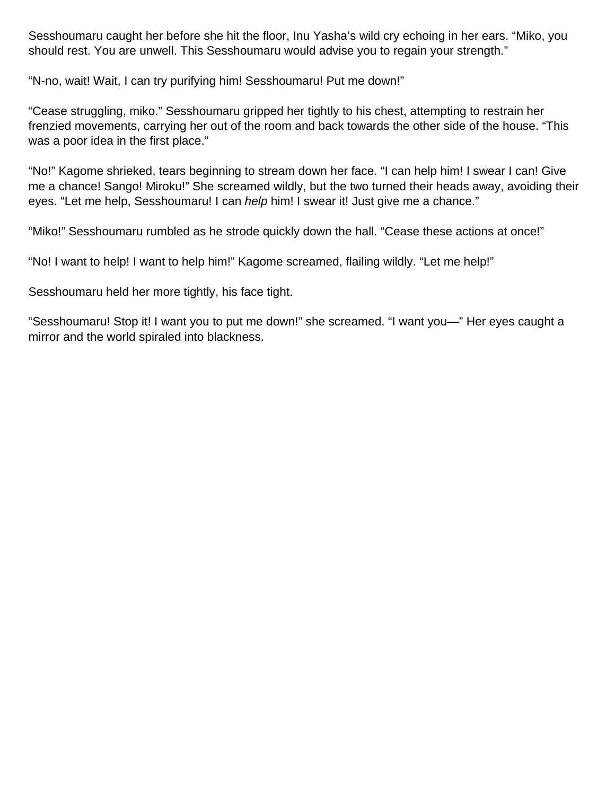Sesshoumaru caught her before she hit the floor, Inu Yasha's wild cry echoing in her ears. "Miko, you should rest. You are unwell. This Sesshoumaru would advise you to regain your strength."

"N-no, wait! Wait, I can try purifying him! Sesshoumaru! Put me down!"

"Cease struggling, miko." Sesshoumaru gripped her tightly to his chest, attempting to restrain her frenzied movements, carrying her out of the room and back towards the other side of the house. "This was a poor idea in the first place."

"No!" Kagome shrieked, tears beginning to stream down her face. "I can help him! I swear I can! Give me a chance! Sango! Miroku!" She screamed wildly, but the two turned their heads away, avoiding their eyes. "Let me help, Sesshoumaru! I can help him! I swear it! Just give me a chance."

"Miko!" Sesshoumaru rumbled as he strode quickly down the hall. "Cease these actions at once!"

"No! I want to help! I want to help him!" Kagome screamed, flailing wildly. "Let me help!"

Sesshoumaru held her more tightly, his face tight.

"Sesshoumaru! Stop it! I want you to put me down!" she screamed. "I want you—" Her eyes caught a mirror and the world spiraled into blackness.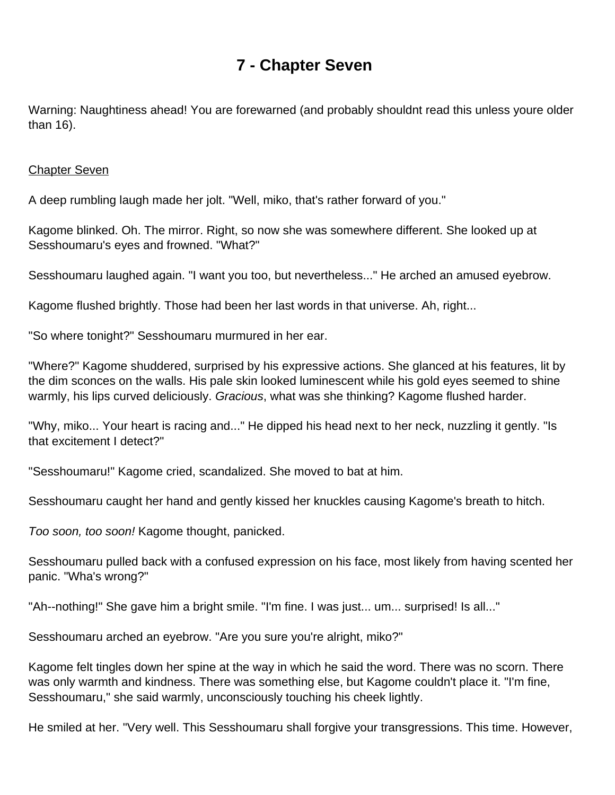### **7 - Chapter Seven**

<span id="page-35-0"></span>Warning: Naughtiness ahead! You are forewarned (and probably shouldn t read this unless you re older than 16).

#### **Chapter Seven**

A deep rumbling laugh made her jolt. "Well, miko, that's rather forward of you."

Kagome blinked. Oh. The mirror. Right, so now she was somewhere different. She looked up at Sesshoumaru's eyes and frowned. "What?"

Sesshoumaru laughed again. "I want you too, but nevertheless..." He arched an amused eyebrow.

Kagome flushed brightly. Those had been her last words in that universe. Ah, right...

"So where tonight?" Sesshoumaru murmured in her ear.

"Where?" Kagome shuddered, surprised by his expressive actions. She glanced at his features, lit by the dim sconces on the walls. His pale skin looked luminescent while his gold eyes seemed to shine warmly, his lips curved deliciously. Gracious, what was she thinking? Kagome flushed harder.

"Why, miko... Your heart is racing and..." He dipped his head next to her neck, nuzzling it gently. "Is that excitement I detect?"

"Sesshoumaru!" Kagome cried, scandalized. She moved to bat at him.

Sesshoumaru caught her hand and gently kissed her knuckles causing Kagome's breath to hitch.

Too soon, too soon! Kagome thought, panicked.

Sesshoumaru pulled back with a confused expression on his face, most likely from having scented her panic. "Wha's wrong?"

"Ah--nothing!" She gave him a bright smile. "I'm fine. I was just... um... surprised! Is all..."

Sesshoumaru arched an eyebrow. "Are you sure you're alright, miko?"

Kagome felt tingles down her spine at the way in which he said the word. There was no scorn. There was only warmth and kindness. There was something else, but Kagome couldn't place it. "I'm fine, Sesshoumaru, " she said warmly, unconsciously touching his cheek lightly.

He smiled at her. "Very well. This Sesshoumaru shall forgive your transgressions. This time. However,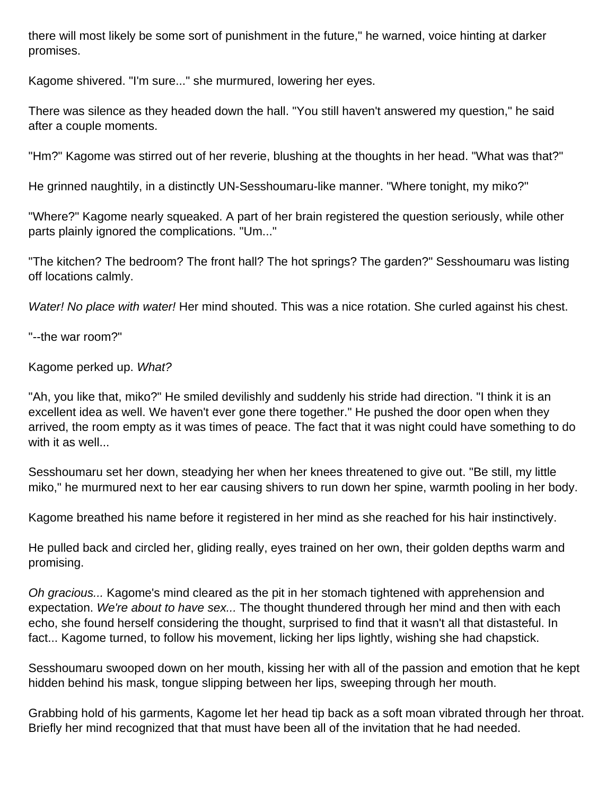there will most likely be some sort of punishment in the future," he warned, voice hinting at darker promises.

Kagome shivered. "I'm sure..." she murmured, lowering her eyes.

There was silence as they headed down the hall. "You still haven't answered my question," he said after a couple moments.

"Hm?" Kagome was stirred out of her reverie, blushing at the thoughts in her head. "What was that?"

He grinned naughtily, in a distinctly UN-Sesshoumaru-like manner. "Where tonight, my miko?"

"Where?" Kagome nearly squeaked. A part of her brain registered the question seriously, while other parts plainly ignored the complications. "Um..."

"The kitchen? The bedroom? The front hall? The hot springs? The garden?" Sesshoumaru was listing off locations calmly.

Water! No place with water! Her mind shouted. This was a nice rotation. She curled against his chest.

"--the war room?"

Kagome perked up. What?

"Ah, you like that, miko?" He smiled devilishly and suddenly his stride had direction. "I think it is an excellent idea as well. We haven't ever gone there together." He pushed the door open when they arrived, the room empty as it was times of peace. The fact that it was night could have something to do with it as well...

Sesshoumaru set her down, steadying her when her knees threatened to give out. "Be still, my little miko," he murmured next to her ear causing shivers to run down her spine, warmth pooling in her body.

Kagome breathed his name before it registered in her mind as she reached for his hair instinctively.

He pulled back and circled her, gliding really, eyes trained on her own, their golden depths warm and promising.

Oh gracious... Kagome's mind cleared as the pit in her stomach tightened with apprehension and expectation. We're about to have sex... The thought thundered through her mind and then with each echo, she found herself considering the thought, surprised to find that it wasn't all that distasteful. In fact... Kagome turned, to follow his movement, licking her lips lightly, wishing she had chapstick.

Sesshoumaru swooped down on her mouth, kissing her with all of the passion and emotion that he kept hidden behind his mask, tongue slipping between her lips, sweeping through her mouth.

Grabbing hold of his garments, Kagome let her head tip back as a soft moan vibrated through her throat. Briefly her mind recognized that that must have been all of the invitation that he had needed.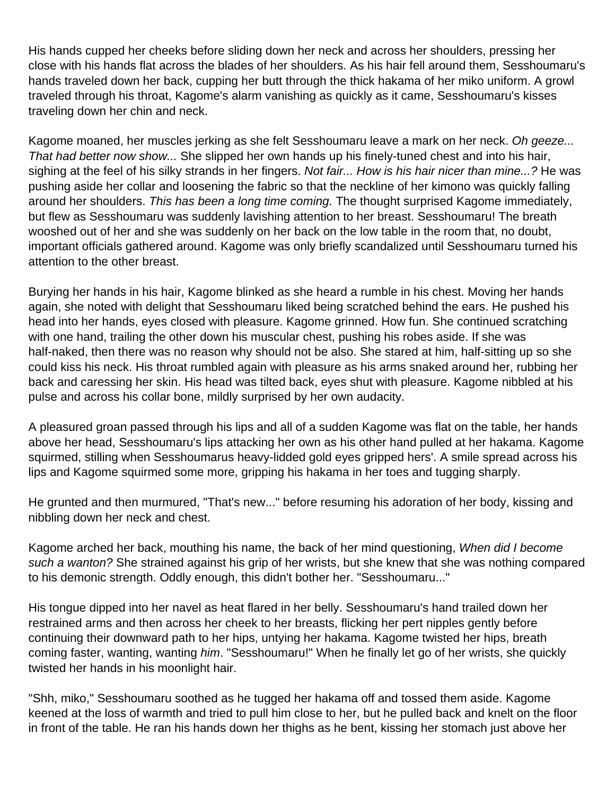His hands cupped her cheeks before sliding down her neck and across her shoulders, pressing her close with his hands flat across the blades of her shoulders. As his hair fell around them, Sesshoumaru's hands traveled down her back, cupping her butt through the thick hakama of her miko uniform. A growl traveled through his throat, Kagome's alarm vanishing as quickly as it came, Sesshoumaru's kisses traveling down her chin and neck.

Kagome moaned, her muscles jerking as she felt Sesshoumaru leave a mark on her neck. Oh geeze... That had better now show... She slipped her own hands up his finely-tuned chest and into his hair, sighing at the feel of his silky strands in her fingers. Not fair... How is his hair nicer than mine...? He was pushing aside her collar and loosening the fabric so that the neckline of her kimono was quickly falling around her shoulders. This has been a long time coming. The thought surprised Kagome immediately, but flew as Sesshoumaru was suddenly lavishing attention to her breast. Sesshoumaru! The breath wooshed out of her and she was suddenly on her back on the low table in the room that, no doubt, important officials gathered around. Kagome was only briefly scandalized until Sesshoumaru turned his attention to the other breast.

Burying her hands in his hair, Kagome blinked as she heard a rumble in his chest. Moving her hands again, she noted with delight that Sesshoumaru liked being scratched behind the ears. He pushed his head into her hands, eyes closed with pleasure. Kagome grinned. How fun. She continued scratching with one hand, trailing the other down his muscular chest, pushing his robes aside. If she was half-naked, then there was no reason why should not be also. She stared at him, half-sitting up so she could kiss his neck. His throat rumbled again with pleasure as his arms snaked around her, rubbing her back and caressing her skin. His head was tilted back, eyes shut with pleasure. Kagome nibbled at his pulse and across his collar bone, mildly surprised by her own audacity.

A pleasured groan passed through his lips and all of a sudden Kagome was flat on the table, her hands above her head, Sesshoumaru's lips attacking her own as his other hand pulled at her hakama. Kagome squirmed, stilling when Sesshoumaru s heavy-lidded gold eyes gripped hers'. A smile spread across his lips and Kagome squirmed some more, gripping his hakama in her toes and tugging sharply.

He grunted and then murmured, "That's new..." before resuming his adoration of her body, kissing and nibbling down her neck and chest.

Kagome arched her back, mouthing his name, the back of her mind questioning, When did I become such a wanton? She strained against his grip of her wrists, but she knew that she was nothing compared to his demonic strength. Oddly enough, this didn't bother her. "Sesshoumaru..."

His tongue dipped into her navel as heat flared in her belly. Sesshoumaru's hand trailed down her restrained arms and then across her cheek to her breasts, flicking her pert nipples gently before continuing their downward path to her hips, untying her hakama. Kagome twisted her hips, breath coming faster, wanting, wanting him. "Sesshoumaru!" When he finally let go of her wrists, she quickly twisted her hands in his moonlight hair.

"Shh, miko, " Sesshoumaru soothed as he tugged her hakama off and tossed them aside. Kagome keened at the loss of warmth and tried to pull him close to her, but he pulled back and knelt on the floor in front of the table. He ran his hands down her thighs as he bent, kissing her stomach just above her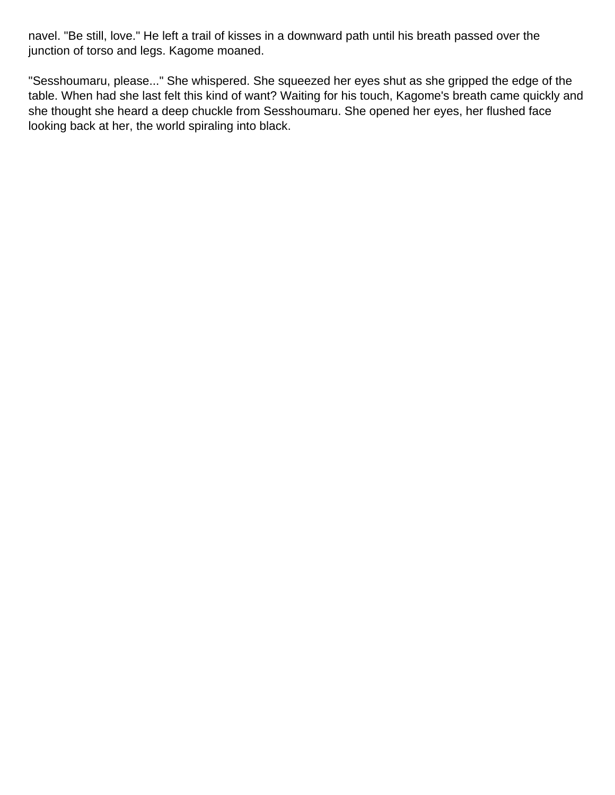navel. "Be still, love." He left a trail of kisses in a downward path until his breath passed over the junction of torso and legs. Kagome moaned.

"Sesshoumaru, please..." She whispered. She squeezed her eyes shut as she gripped the edge of the table. When had she last felt this kind of want? Waiting for his touch, Kagome's breath came quickly and she thought she heard a deep chuckle from Sesshoumaru. She opened her eyes, her flushed face looking back at her, the world spiraling into black.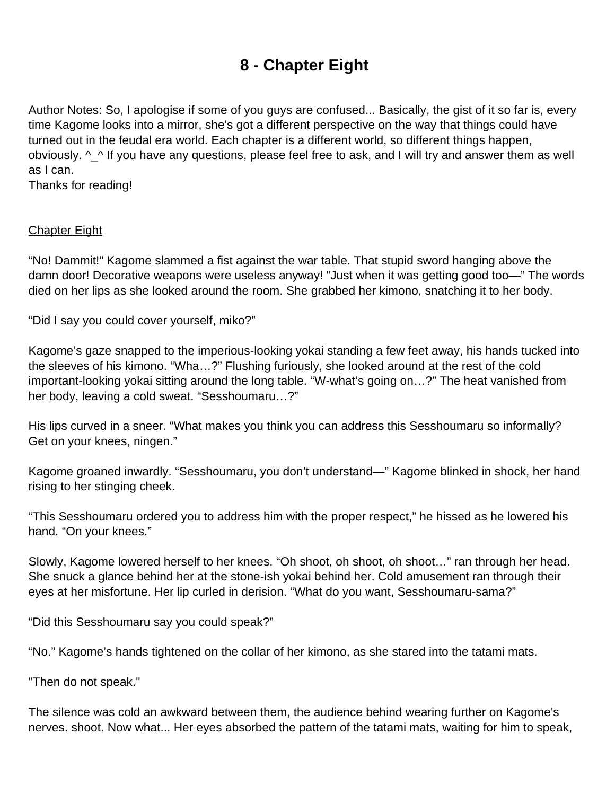# **8 - Chapter Eight**

<span id="page-39-0"></span>Author Notes: So, I apologise if some of you guys are confused... Basically, the gist of it so far is, every time Kagome looks into a mirror, she's got a different perspective on the way that things could have turned out in the feudal era world. Each chapter is a different world, so different things happen, obviously. ^\_^ If you have any questions, please feel free to ask, and I will try and answer them as well as I can.

Thanks for reading!

#### Chapter Eight

"No! Dammit!" Kagome slammed a fist against the war table. That stupid sword hanging above the damn door! Decorative weapons were useless anyway! "Just when it was getting good too—" The words died on her lips as she looked around the room. She grabbed her kimono, snatching it to her body.

"Did I say you could cover yourself, miko?"

Kagome's gaze snapped to the imperious-looking yokai standing a few feet away, his hands tucked into the sleeves of his kimono. "Wha…?" Flushing furiously, she looked around at the rest of the cold important-looking yokai sitting around the long table. "W-what's going on…?" The heat vanished from her body, leaving a cold sweat. "Sesshoumaru…?"

His lips curved in a sneer. "What makes you think you can address this Sesshoumaru so informally? Get on your knees, ningen."

Kagome groaned inwardly. "Sesshoumaru, you don't understand—" Kagome blinked in shock, her hand rising to her stinging cheek.

"This Sesshoumaru ordered you to address him with the proper respect," he hissed as he lowered his hand. "On your knees."

Slowly, Kagome lowered herself to her knees. "Oh shoot, oh shoot, oh shoot…" ran through her head. She snuck a glance behind her at the stone-ish yokai behind her. Cold amusement ran through their eyes at her misfortune. Her lip curled in derision. "What do you want, Sesshoumaru-sama?"

"Did this Sesshoumaru say you could speak?"

"No." Kagome's hands tightened on the collar of her kimono, as she stared into the tatami mats.

"Then do not speak."

The silence was cold an awkward between them, the audience behind wearing further on Kagome's nerves. shoot. Now what... Her eyes absorbed the pattern of the tatami mats, waiting for him to speak,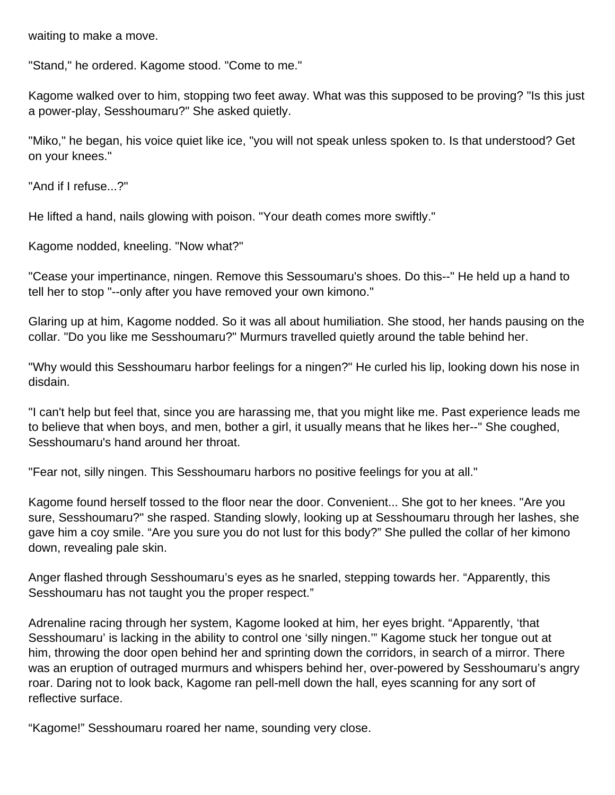waiting to make a move.

"Stand," he ordered. Kagome stood. "Come to me."

Kagome walked over to him, stopping two feet away. What was this supposed to be proving? "Is this just a power-play, Sesshoumaru?" She asked quietly.

"Miko," he began, his voice quiet like ice, "you will not speak unless spoken to. Is that understood? Get on your knees."

"And if I refuse...?"

He lifted a hand, nails glowing with poison. "Your death comes more swiftly."

Kagome nodded, kneeling. "Now what?"

"Cease your impertinance, ningen. Remove this Sessoumaru's shoes. Do this--" He held up a hand to tell her to stop "--only after you have removed your own kimono."

Glaring up at him, Kagome nodded. So it was all about humiliation. She stood, her hands pausing on the collar. "Do you like me Sesshoumaru?" Murmurs travelled quietly around the table behind her.

"Why would this Sesshoumaru harbor feelings for a ningen?" He curled his lip, looking down his nose in disdain.

"I can't help but feel that, since you are harassing me, that you might like me. Past experience leads me to believe that when boys, and men, bother a girl, it usually means that he likes her--" She coughed, Sesshoumaru's hand around her throat.

"Fear not, silly ningen. This Sesshoumaru harbors no positive feelings for you at all."

Kagome found herself tossed to the floor near the door. Convenient... She got to her knees. "Are you sure, Sesshoumaru?" she rasped. Standing slowly, looking up at Sesshoumaru through her lashes, she gave him a coy smile. "Are you sure you do not lust for this body?" She pulled the collar of her kimono down, revealing pale skin.

Anger flashed through Sesshoumaru's eyes as he snarled, stepping towards her. "Apparently, this Sesshoumaru has not taught you the proper respect."

Adrenaline racing through her system, Kagome looked at him, her eyes bright. "Apparently, 'that Sesshoumaru' is lacking in the ability to control one 'silly ningen.'" Kagome stuck her tongue out at him, throwing the door open behind her and sprinting down the corridors, in search of a mirror. There was an eruption of outraged murmurs and whispers behind her, over-powered by Sesshoumaru's angry roar. Daring not to look back, Kagome ran pell-mell down the hall, eyes scanning for any sort of reflective surface.

"Kagome!" Sesshoumaru roared her name, sounding very close.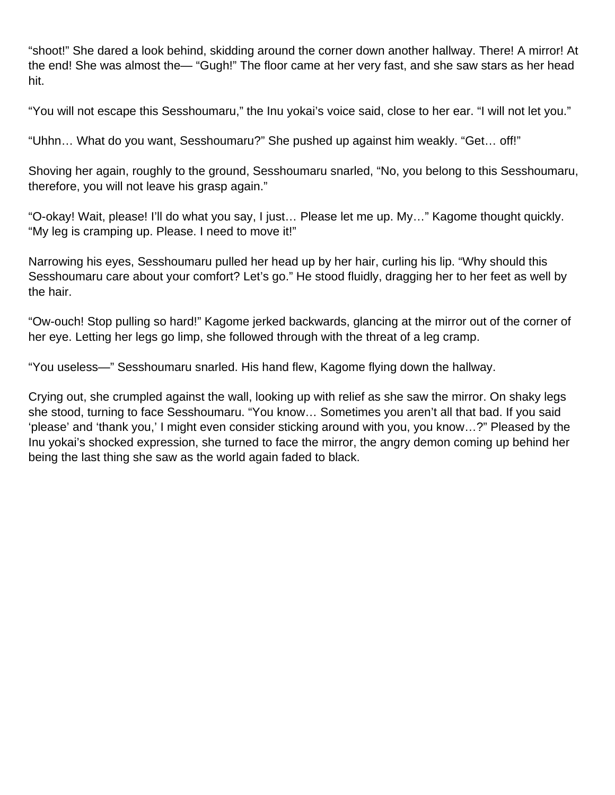"shoot!" She dared a look behind, skidding around the corner down another hallway. There! A mirror! At the end! She was almost the— "Gugh!" The floor came at her very fast, and she saw stars as her head hit.

"You will not escape this Sesshoumaru," the Inu yokai's voice said, close to her ear. "I will not let you."

"Uhhn… What do you want, Sesshoumaru?" She pushed up against him weakly. "Get… off!"

Shoving her again, roughly to the ground, Sesshoumaru snarled, "No, you belong to this Sesshoumaru, therefore, you will not leave his grasp again."

"O-okay! Wait, please! I'll do what you say, I just… Please let me up. My…" Kagome thought quickly. "My leg is cramping up. Please. I need to move it!"

Narrowing his eyes, Sesshoumaru pulled her head up by her hair, curling his lip. "Why should this Sesshoumaru care about your comfort? Let's go." He stood fluidly, dragging her to her feet as well by the hair.

"Ow-ouch! Stop pulling so hard!" Kagome jerked backwards, glancing at the mirror out of the corner of her eye. Letting her legs go limp, she followed through with the threat of a leg cramp.

"You useless—" Sesshoumaru snarled. His hand flew, Kagome flying down the hallway.

Crying out, she crumpled against the wall, looking up with relief as she saw the mirror. On shaky legs she stood, turning to face Sesshoumaru. "You know… Sometimes you aren't all that bad. If you said 'please' and 'thank you,' I might even consider sticking around with you, you know…?" Pleased by the Inu yokai's shocked expression, she turned to face the mirror, the angry demon coming up behind her being the last thing she saw as the world again faded to black.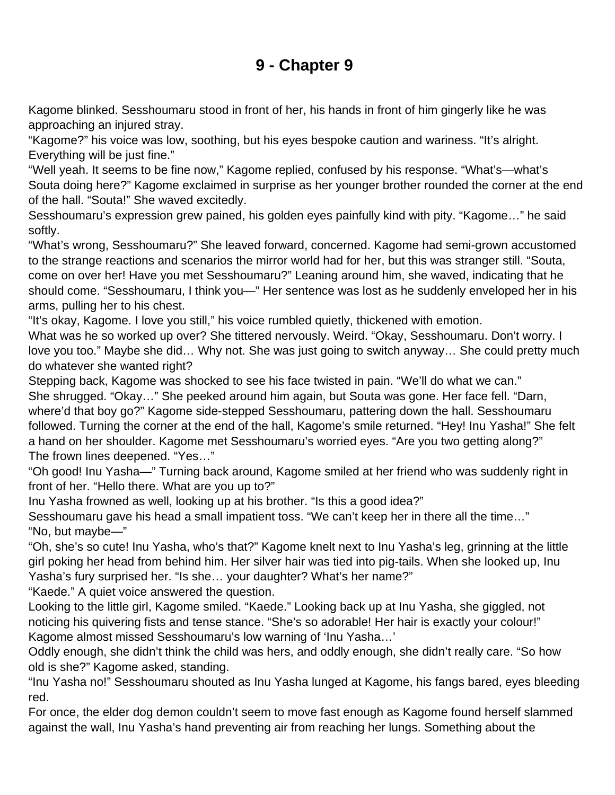# **9 - Chapter 9**

<span id="page-42-0"></span>Kagome blinked. Sesshoumaru stood in front of her, his hands in front of him gingerly like he was approaching an injured stray.

"Kagome?" his voice was low, soothing, but his eyes bespoke caution and wariness. "It's alright. Everything will be just fine."

"Well yeah. It seems to be fine now," Kagome replied, confused by his response. "What's—what's Souta doing here?" Kagome exclaimed in surprise as her younger brother rounded the corner at the end of the hall. "Souta!" She waved excitedly.

Sesshoumaru's expression grew pained, his golden eyes painfully kind with pity. "Kagome…" he said softly.

"What's wrong, Sesshoumaru?" She leaved forward, concerned. Kagome had semi-grown accustomed to the strange reactions and scenarios the mirror world had for her, but this was stranger still. "Souta, come on over her! Have you met Sesshoumaru?" Leaning around him, she waved, indicating that he should come. "Sesshoumaru, I think you—" Her sentence was lost as he suddenly enveloped her in his arms, pulling her to his chest.

"It's okay, Kagome. I love you still," his voice rumbled quietly, thickened with emotion.

What was he so worked up over? She tittered nervously. Weird. "Okay, Sesshoumaru. Don't worry. I love you too." Maybe she did… Why not. She was just going to switch anyway… She could pretty much do whatever she wanted right?

Stepping back, Kagome was shocked to see his face twisted in pain. "We'll do what we can." She shrugged. "Okay…" She peeked around him again, but Souta was gone. Her face fell. "Darn, where'd that boy go?" Kagome side-stepped Sesshoumaru, pattering down the hall. Sesshoumaru followed. Turning the corner at the end of the hall, Kagome's smile returned. "Hey! Inu Yasha!" She felt a hand on her shoulder. Kagome met Sesshoumaru's worried eyes. "Are you two getting along?" The frown lines deepened. "Yes…"

"Oh good! Inu Yasha—" Turning back around, Kagome smiled at her friend who was suddenly right in front of her. "Hello there. What are you up to?"

Inu Yasha frowned as well, looking up at his brother. "Is this a good idea?"

Sesshoumaru gave his head a small impatient toss. "We can't keep her in there all the time…" "No, but maybe—"

"Oh, she's so cute! Inu Yasha, who's that?" Kagome knelt next to Inu Yasha's leg, grinning at the little girl poking her head from behind him. Her silver hair was tied into pig-tails. When she looked up, Inu Yasha's fury surprised her. "Is she… your daughter? What's her name?"

"Kaede." A quiet voice answered the question.

Looking to the little girl, Kagome smiled. "Kaede." Looking back up at Inu Yasha, she giggled, not noticing his quivering fists and tense stance. "She's so adorable! Her hair is exactly your colour!" Kagome almost missed Sesshoumaru's low warning of 'Inu Yasha…'

Oddly enough, she didn't think the child was hers, and oddly enough, she didn't really care. "So how old is she?" Kagome asked, standing.

"Inu Yasha no!" Sesshoumaru shouted as Inu Yasha lunged at Kagome, his fangs bared, eyes bleeding red.

For once, the elder dog demon couldn't seem to move fast enough as Kagome found herself slammed against the wall, Inu Yasha's hand preventing air from reaching her lungs. Something about the